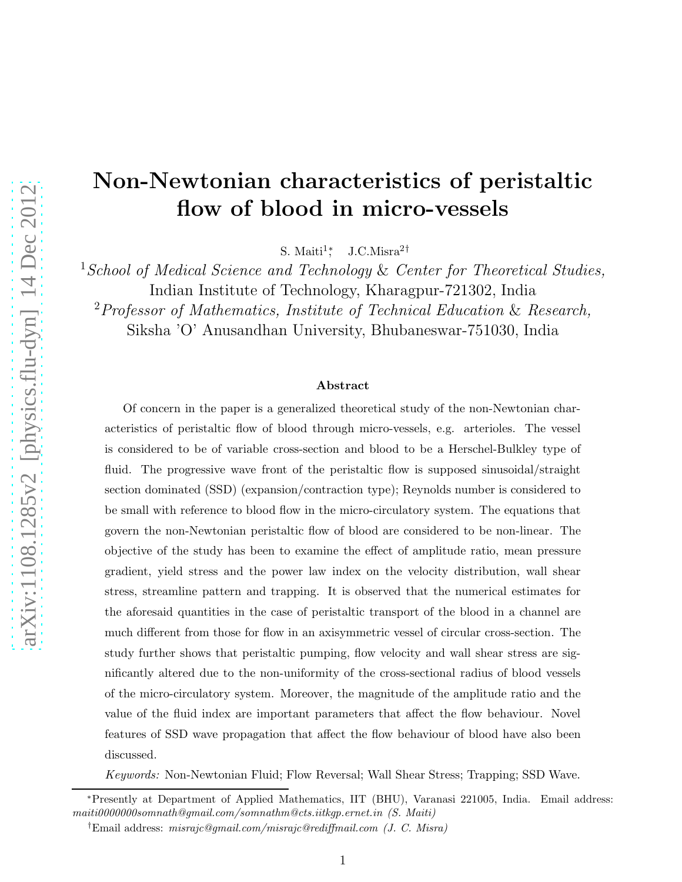# Non-Newtonian characteristics of peristaltic flow of blood in micro-vessels

S. Maiti<sup>1</sup>; J.C.Misra<sup>2†</sup>

<sup>1</sup>*School of Medical Science and Technology* & *Center for Theoretical Studies,* Indian Institute of Technology, Kharagpur-721302, India <sup>2</sup>*Professor of Mathematics, Institute of Technical Education* & *Research,*

Siksha 'O' Anusandhan University, Bhubaneswar-751030, India

#### Abstract

Of concern in the paper is a generalized theoretical study of the non-Newtonian characteristics of peristaltic flow of blood through micro-vessels, e.g. arterioles. The vessel is considered to be of variable cross-section and blood to be a Herschel-Bulkley type of fluid. The progressive wave front of the peristaltic flow is supposed sinusoidal/straight section dominated (SSD) (expansion/contraction type); Reynolds number is considered to be small with reference to blood flow in the micro-circulatory system. The equations that govern the non-Newtonian peristaltic flow of blood are considered to be non-linear. The objective of the study has been to examine the effect of amplitude ratio, mean pressure gradient, yield stress and the power law index on the velocity distribution, wall shear stress, streamline pattern and trapping. It is observed that the numerical estimates for the aforesaid quantities in the case of peristaltic transport of the blood in a channel are much different from those for flow in an axisymmetric vessel of circular cross-section. The study further shows that peristaltic pumping, flow velocity and wall shear stress are significantly altered due to the non-uniformity of the cross-sectional radius of blood vessels of the micro-circulatory system. Moreover, the magnitude of the amplitude ratio and the value of the fluid index are important parameters that affect the flow behaviour. Novel features of SSD wave propagation that affect the flow behaviour of blood have also been discussed.

Keywords: Non-Newtonian Fluid; Flow Reversal; Wall Shear Stress; Trapping; SSD Wave.

<sup>∗</sup>Presently at Department of Applied Mathematics, IIT (BHU), Varanasi 221005, India. Email address: maiti0000000somnath@gmail.com/somnathm@cts.iitkgp.ernet.in (S. Maiti)

<sup>†</sup>Email address: misrajc@gmail.com/misrajc@rediffmail.com (J. C. Misra)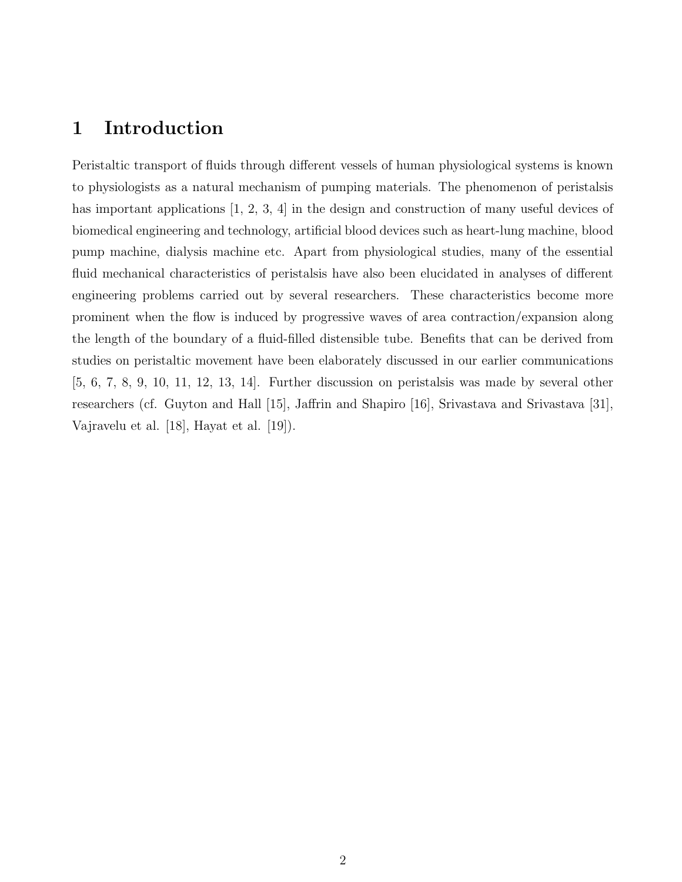## 1 Introduction

Peristaltic transport of fluids through different vessels of human physiological systems is known to physiologists as a natural mechanism of pumping materials. The phenomenon of peristalsis has important applications [1, 2, 3, 4] in the design and construction of many useful devices of biomedical engineering and technology, artificial blood devices such as heart-lung machine, blood pump machine, dialysis machine etc. Apart from physiological studies, many of the essential fluid mechanical characteristics of peristalsis have also been elucidated in analyses of different engineering problems carried out by several researchers. These characteristics become more prominent when the flow is induced by progressive waves of area contraction/expansion along the length of the boundary of a fluid-filled distensible tube. Benefits that can be derived from studies on peristaltic movement have been elaborately discussed in our earlier communications [5, 6, 7, 8, 9, 10, 11, 12, 13, 14]. Further discussion on peristalsis was made by several other researchers (cf. Guyton and Hall [15], Jaffrin and Shapiro [16], Srivastava and Srivastava [31], Vajravelu et al. [18], Hayat et al. [19]).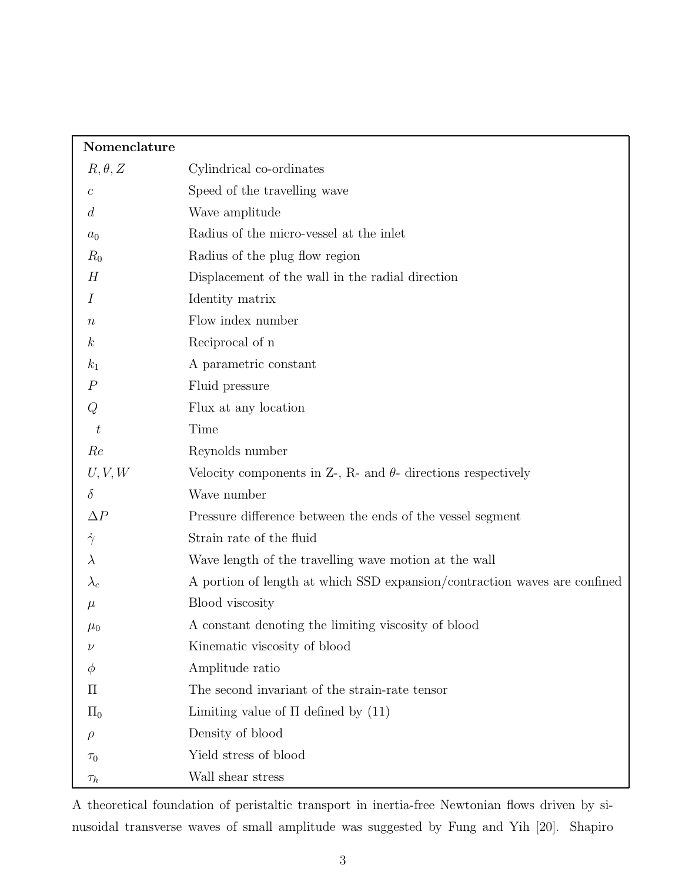| Nomenclature     |                                                                           |
|------------------|---------------------------------------------------------------------------|
| $R, \theta, Z$   | Cylindrical co-ordinates                                                  |
| $\boldsymbol{c}$ | Speed of the travelling wave                                              |
| $\overline{d}$   | Wave amplitude                                                            |
| $a_0$            | Radius of the micro-vessel at the inlet                                   |
| $R_0$            | Radius of the plug flow region                                            |
| Н                | Displacement of the wall in the radial direction                          |
| Ι                | Identity matrix                                                           |
| $\boldsymbol{n}$ | Flow index number                                                         |
| $\boldsymbol{k}$ | Reciprocal of n                                                           |
| $k_1$            | A parametric constant                                                     |
| $\, P \,$        | Fluid pressure                                                            |
| Q                | Flux at any location                                                      |
| $\boldsymbol{t}$ | Time                                                                      |
| Re               | Reynolds number                                                           |
| U, V, W          | Velocity components in $Z$ -, R- and $\theta$ - directions respectively   |
| $\delta$         | Wave number                                                               |
| $\Delta P$       | Pressure difference between the ends of the vessel segment                |
| $\dot{\gamma}$   | Strain rate of the fluid                                                  |
| $\lambda$        | Wave length of the travelling wave motion at the wall                     |
| $\lambda_c$      | A portion of length at which SSD expansion/contraction waves are confined |
| $\mu$            | Blood viscosity                                                           |
| $\mu_0$          | A constant denoting the limiting viscosity of blood                       |
| $\nu$            | Kinematic viscosity of blood                                              |
| $\phi$           | Amplitude ratio                                                           |
| $\prod$          | The second invariant of the strain-rate tensor                            |
| $\Pi_0$          | Limiting value of $\Pi$ defined by (11)                                   |
| $\rho$           | Density of blood                                                          |
| $\tau_0$         | Yield stress of blood                                                     |
| $\tau_h$         | Wall shear stress                                                         |

A theoretical foundation of peristaltic transport in inertia-free Newtonian flows driven by sinusoidal transverse waves of small amplitude was suggested by Fung and Yih [20]. Shapiro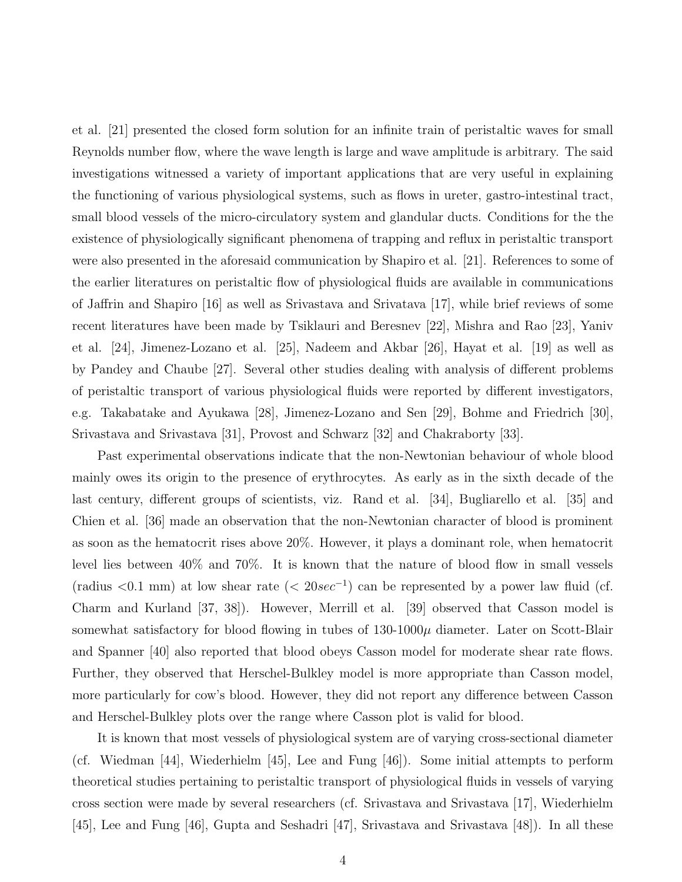et al. [21] presented the closed form solution for an infinite train of peristaltic waves for small Reynolds number flow, where the wave length is large and wave amplitude is arbitrary. The said investigations witnessed a variety of important applications that are very useful in explaining the functioning of various physiological systems, such as flows in ureter, gastro-intestinal tract, small blood vessels of the micro-circulatory system and glandular ducts. Conditions for the the existence of physiologically significant phenomena of trapping and reflux in peristaltic transport were also presented in the aforesaid communication by Shapiro et al. [21]. References to some of the earlier literatures on peristaltic flow of physiological fluids are available in communications of Jaffrin and Shapiro [16] as well as Srivastava and Srivatava [17], while brief reviews of some recent literatures have been made by Tsiklauri and Beresnev [22], Mishra and Rao [23], Yaniv et al. [24], Jimenez-Lozano et al. [25], Nadeem and Akbar [26], Hayat et al. [19] as well as by Pandey and Chaube [27]. Several other studies dealing with analysis of different problems of peristaltic transport of various physiological fluids were reported by different investigators, e.g. Takabatake and Ayukawa [28], Jimenez-Lozano and Sen [29], Bohme and Friedrich [30], Srivastava and Srivastava [31], Provost and Schwarz [32] and Chakraborty [33].

Past experimental observations indicate that the non-Newtonian behaviour of whole blood mainly owes its origin to the presence of erythrocytes. As early as in the sixth decade of the last century, different groups of scientists, viz. Rand et al. [34], Bugliarello et al. [35] and Chien et al. [36] made an observation that the non-Newtonian character of blood is prominent as soon as the hematocrit rises above 20%. However, it plays a dominant role, when hematocrit level lies between 40% and 70%. It is known that the nature of blood flow in small vessels (radius <0.1 mm) at low shear rate (<  $20sec^{-1}$ ) can be represented by a power law fluid (cf. Charm and Kurland [37, 38]). However, Merrill et al. [39] observed that Casson model is somewhat satisfactory for blood flowing in tubes of  $130-1000\mu$  diameter. Later on Scott-Blair and Spanner [40] also reported that blood obeys Casson model for moderate shear rate flows. Further, they observed that Herschel-Bulkley model is more appropriate than Casson model, more particularly for cow's blood. However, they did not report any difference between Casson and Herschel-Bulkley plots over the range where Casson plot is valid for blood.

It is known that most vessels of physiological system are of varying cross-sectional diameter (cf. Wiedman [44], Wiederhielm [45], Lee and Fung [46]). Some initial attempts to perform theoretical studies pertaining to peristaltic transport of physiological fluids in vessels of varying cross section were made by several researchers (cf. Srivastava and Srivastava [17], Wiederhielm [45], Lee and Fung [46], Gupta and Seshadri [47], Srivastava and Srivastava [48]). In all these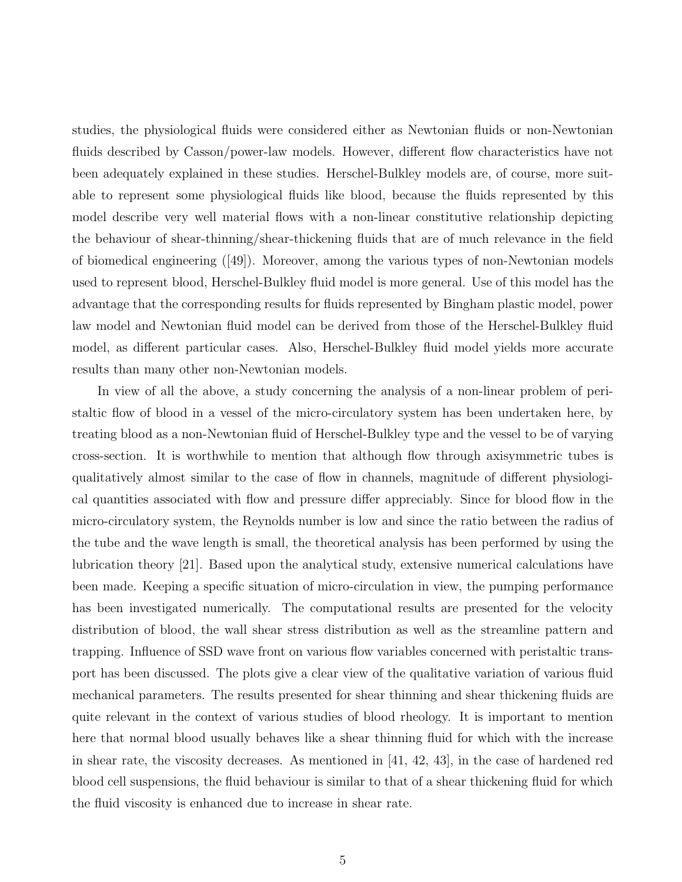studies, the physiological fluids were considered either as Newtonian fluids or non-Newtonian fluids described by Casson/power-law models. However, different flow characteristics have not been adequately explained in these studies. Herschel-Bulkley models are, of course, more suitable to represent some physiological fluids like blood, because the fluids represented by this model describe very well material flows with a non-linear constitutive relationship depicting the behaviour of shear-thinning/shear-thickening fluids that are of much relevance in the field of biomedical engineering ([49]). Moreover, among the various types of non-Newtonian models used to represent blood, Herschel-Bulkley fluid model is more general. Use of this model has the advantage that the corresponding results for fluids represented by Bingham plastic model, power law model and Newtonian fluid model can be derived from those of the Herschel-Bulkley fluid model, as different particular cases. Also, Herschel-Bulkley fluid model yields more accurate results than many other non-Newtonian models.

In view of all the above, a study concerning the analysis of a non-linear problem of peristaltic flow of blood in a vessel of the micro-circulatory system has been undertaken here, by treating blood as a non-Newtonian fluid of Herschel-Bulkley type and the vessel to be of varying cross-section. It is worthwhile to mention that although flow through axisymmetric tubes is qualitatively almost similar to the case of flow in channels, magnitude of different physiological quantities associated with flow and pressure differ appreciably. Since for blood flow in the micro-circulatory system, the Reynolds number is low and since the ratio between the radius of the tube and the wave length is small, the theoretical analysis has been performed by using the lubrication theory [21]. Based upon the analytical study, extensive numerical calculations have been made. Keeping a specific situation of micro-circulation in view, the pumping performance has been investigated numerically. The computational results are presented for the velocity distribution of blood, the wall shear stress distribution as well as the streamline pattern and trapping. Influence of SSD wave front on various flow variables concerned with peristaltic transport has been discussed. The plots give a clear view of the qualitative variation of various fluid mechanical parameters. The results presented for shear thinning and shear thickening fluids are quite relevant in the context of various studies of blood rheology. It is important to mention here that normal blood usually behaves like a shear thinning fluid for which with the increase in shear rate, the viscosity decreases. As mentioned in [41, 42, 43], in the case of hardened red blood cell suspensions, the fluid behaviour is similar to that of a shear thickening fluid for which the fluid viscosity is enhanced due to increase in shear rate.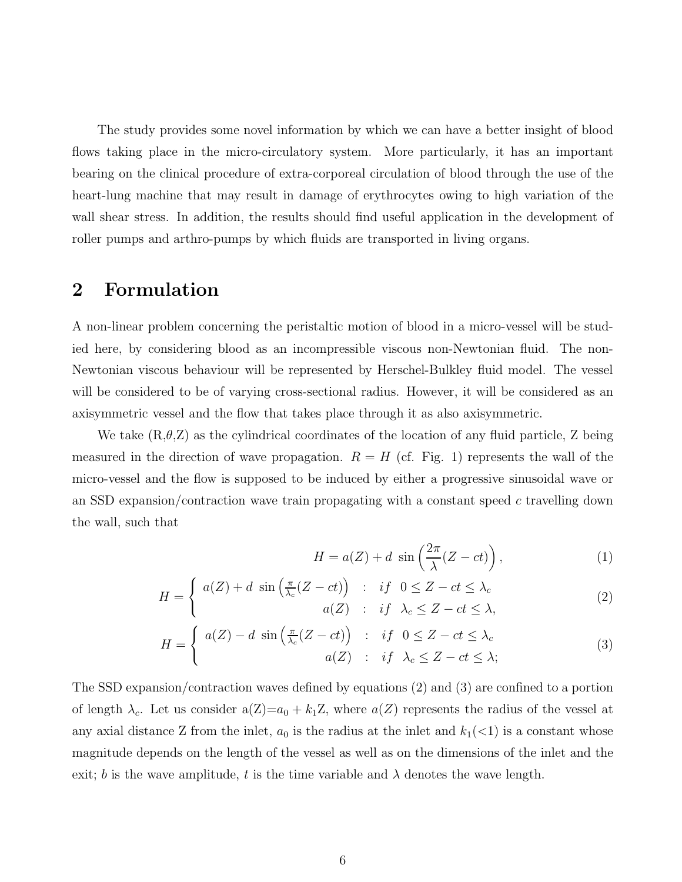The study provides some novel information by which we can have a better insight of blood flows taking place in the micro-circulatory system. More particularly, it has an important bearing on the clinical procedure of extra-corporeal circulation of blood through the use of the heart-lung machine that may result in damage of erythrocytes owing to high variation of the wall shear stress. In addition, the results should find useful application in the development of roller pumps and arthro-pumps by which fluids are transported in living organs.

### 2 Formulation

A non-linear problem concerning the peristaltic motion of blood in a micro-vessel will be studied here, by considering blood as an incompressible viscous non-Newtonian fluid. The non-Newtonian viscous behaviour will be represented by Herschel-Bulkley fluid model. The vessel will be considered to be of varying cross-sectional radius. However, it will be considered as an axisymmetric vessel and the flow that takes place through it as also axisymmetric.

We take  $(R,\theta,Z)$  as the cylindrical coordinates of the location of any fluid particle, Z being measured in the direction of wave propagation.  $R = H$  (cf. Fig. 1) represents the wall of the micro-vessel and the flow is supposed to be induced by either a progressive sinusoidal wave or an SSD expansion/contraction wave train propagating with a constant speed  $c$  travelling down the wall, such that

$$
H = a(Z) + d \sin\left(\frac{2\pi}{\lambda}(Z - ct)\right),\tag{1}
$$

$$
H = \begin{cases} a(Z) + d \sin\left(\frac{\pi}{\lambda_c}(Z - ct)\right) & : \text{if } 0 \le Z - ct \le \lambda_c \\ a(Z) & : \text{if } \lambda_c \le Z - ct \le \lambda, \end{cases}
$$
 (2)

$$
H = \begin{cases} a(Z) - d \sin\left(\frac{\pi}{\lambda_c}(Z - ct)\right) & \text{if } 0 \le Z - ct \le \lambda_c \\ a(Z) & \text{if } \lambda_c \le Z - ct \le \lambda; \end{cases} \tag{3}
$$

The SSD expansion/contraction waves defined by equations (2) and (3) are confined to a portion of length  $\lambda_c$ . Let us consider  $a(Z)=a_0 + k_1Z$ , where  $a(Z)$  represents the radius of the vessel at any axial distance Z from the inlet,  $a_0$  is the radius at the inlet and  $k_1(\langle 1 \rangle)$  is a constant whose magnitude depends on the length of the vessel as well as on the dimensions of the inlet and the exit; b is the wave amplitude, t is the time variable and  $\lambda$  denotes the wave length.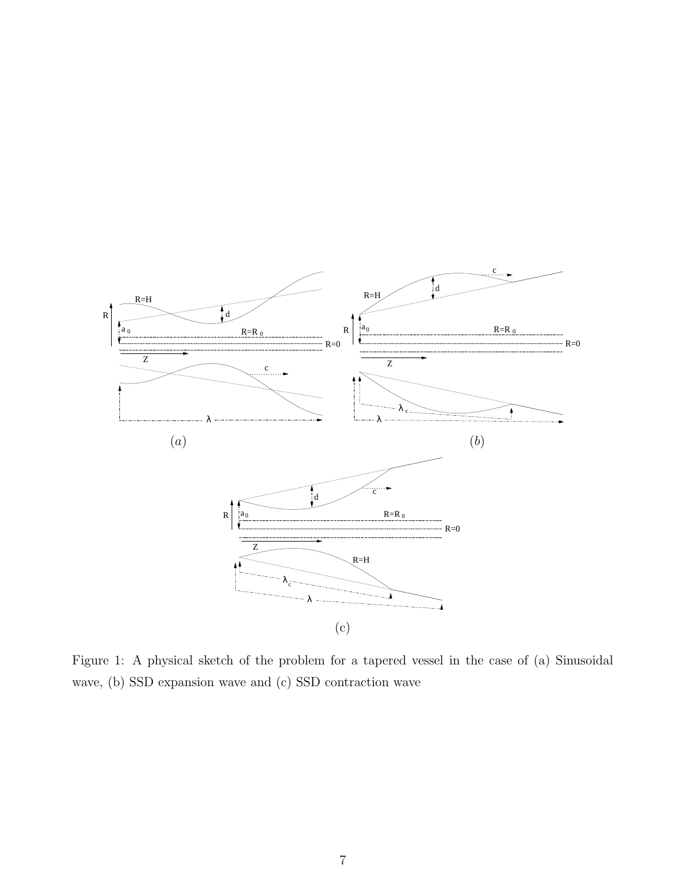

Figure 1: A physical sketch of the problem for a tapered vessel in the case of (a) Sinusoidal wave, (b) SSD expansion wave and (c) SSD contraction wave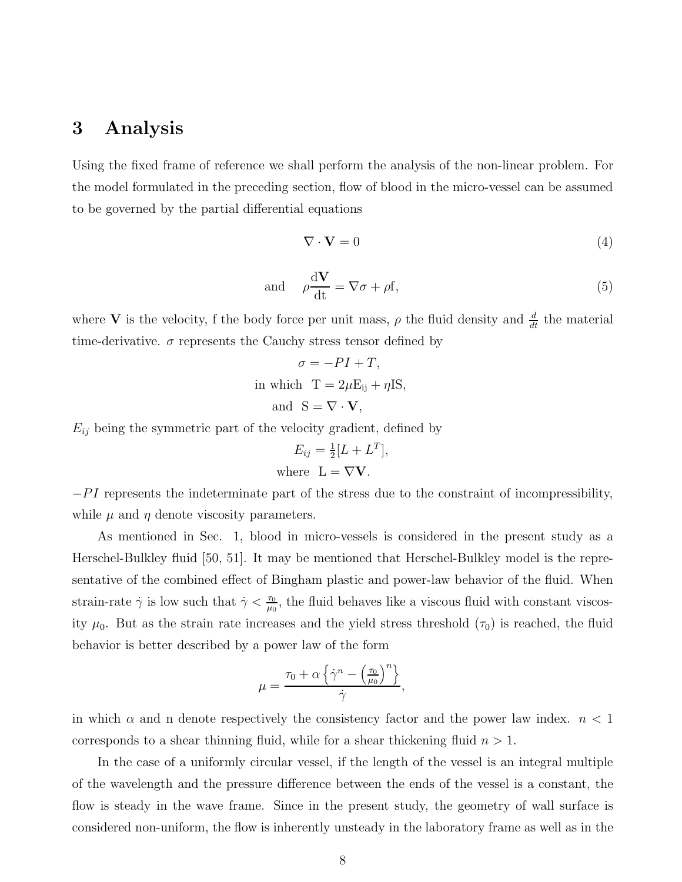### 3 Analysis

Using the fixed frame of reference we shall perform the analysis of the non-linear problem. For the model formulated in the preceding section, flow of blood in the micro-vessel can be assumed to be governed by the partial differential equations

$$
\nabla \cdot \mathbf{V} = 0 \tag{4}
$$

and 
$$
\rho \frac{dV}{dt} = \nabla \sigma + \rho f,
$$
 (5)

where **V** is the velocity, f the body force per unit mass,  $\rho$  the fluid density and  $\frac{d}{dt}$  the material time-derivative.  $\sigma$  represents the Cauchy stress tensor defined by

$$
\sigma = -PI + T,
$$
  
in which  $T = 2\mu E_{ij} + \eta IS,$   
and  $S = \nabla \cdot \mathbf{V},$ 

 $E_{ij}$  being the symmetric part of the velocity gradient, defined by

$$
E_{ij} = \frac{1}{2}[L + L^T],
$$
  
where  $L = \nabla V$ .

 $-PI$  represents the indeterminate part of the stress due to the constraint of incompressibility, while  $\mu$  and  $\eta$  denote viscosity parameters.

As mentioned in Sec. 1, blood in micro-vessels is considered in the present study as a Herschel-Bulkley fluid [50, 51]. It may be mentioned that Herschel-Bulkley model is the representative of the combined effect of Bingham plastic and power-law behavior of the fluid. When strain-rate  $\dot{\gamma}$  is low such that  $\dot{\gamma} < \frac{\tau_0}{\mu_0}$ , the fluid behaves like a viscous fluid with constant viscosity  $\mu_0$ . But as the strain rate increases and the yield stress threshold  $(\tau_0)$  is reached, the fluid behavior is better described by a power law of the form

$$
\mu = \frac{\tau_0 + \alpha \left\{ \dot{\gamma}^n - \left( \frac{\tau_0}{\mu_0} \right)^n \right\}}{\dot{\gamma}},
$$

in which  $\alpha$  and n denote respectively the consistency factor and the power law index.  $n < 1$ corresponds to a shear thinning fluid, while for a shear thickening fluid  $n > 1$ .

In the case of a uniformly circular vessel, if the length of the vessel is an integral multiple of the wavelength and the pressure difference between the ends of the vessel is a constant, the flow is steady in the wave frame. Since in the present study, the geometry of wall surface is considered non-uniform, the flow is inherently unsteady in the laboratory frame as well as in the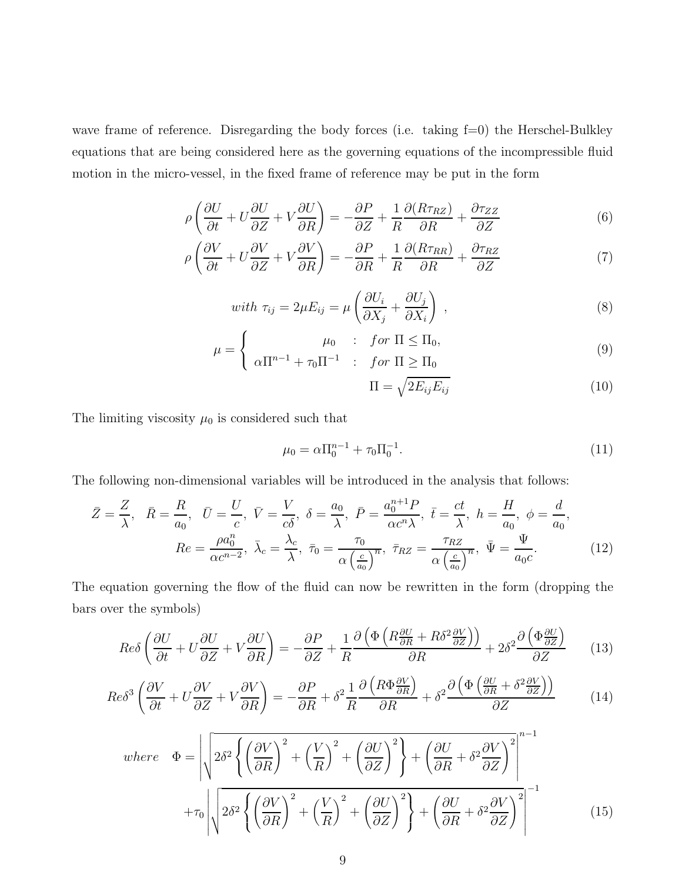wave frame of reference. Disregarding the body forces (i.e. taking f=0) the Herschel-Bulkley equations that are being considered here as the governing equations of the incompressible fluid motion in the micro-vessel, in the fixed frame of reference may be put in the form

$$
\rho \left( \frac{\partial U}{\partial t} + U \frac{\partial U}{\partial Z} + V \frac{\partial U}{\partial R} \right) = -\frac{\partial P}{\partial Z} + \frac{1}{R} \frac{\partial (R\tau_{RZ})}{\partial R} + \frac{\partial \tau_{ZZ}}{\partial Z}
$$
(6)

$$
\rho \left( \frac{\partial V}{\partial t} + U \frac{\partial V}{\partial Z} + V \frac{\partial V}{\partial R} \right) = -\frac{\partial P}{\partial R} + \frac{1}{R} \frac{\partial (R\tau_{RR})}{\partial R} + \frac{\partial \tau_{RZ}}{\partial Z}
$$
(7)

with 
$$
\tau_{ij} = 2\mu E_{ij} = \mu \left( \frac{\partial U_i}{\partial X_j} + \frac{\partial U_j}{\partial X_i} \right)
$$
, (8)

$$
\mu = \begin{cases}\n\mu_0 & \text{: } for \Pi \le \Pi_0, \\
\alpha \Pi^{n-1} + \tau_0 \Pi^{-1} & \text{: } for \Pi \ge \Pi_0\n\end{cases}
$$
\n(9)

$$
\Pi = \sqrt{2E_{ij}E_{ij}}\tag{10}
$$

The limiting viscosity  $\mu_0$  is considered such that

$$
\mu_0 = \alpha \Pi_0^{n-1} + \tau_0 \Pi_0^{-1}.
$$
\n(11)

The following non-dimensional variables will be introduced in the analysis that follows:

$$
\bar{Z} = \frac{Z}{\lambda}, \quad \bar{R} = \frac{R}{a_0}, \quad \bar{U} = \frac{U}{c}, \quad \bar{V} = \frac{V}{c\delta}, \quad \delta = \frac{a_0}{\lambda}, \quad \bar{P} = \frac{a_0^{n+1}P}{\alpha c^n \lambda}, \quad \bar{t} = \frac{ct}{\lambda}, \quad h = \frac{H}{a_0}, \quad \phi = \frac{d}{a_0},
$$
\n
$$
Re = \frac{\rho a_0^n}{\alpha c^{n-2}}, \quad \bar{\lambda}_c = \frac{\lambda_c}{\lambda}, \quad \bar{\tau}_0 = \frac{\tau_0}{\alpha \left(\frac{c}{a_0}\right)^n}, \quad \bar{\tau}_{RZ} = \frac{\tau_{RZ}}{\alpha \left(\frac{c}{a_0}\right)^n}, \quad \bar{\Psi} = \frac{\Psi}{a_0 c}.
$$
\n(12)

The equation governing the flow of the fluid can now be rewritten in the form (dropping the bars over the symbols)

$$
Re \delta \left( \frac{\partial U}{\partial t} + U \frac{\partial U}{\partial Z} + V \frac{\partial U}{\partial R} \right) = -\frac{\partial P}{\partial Z} + \frac{1}{R} \frac{\partial \left( \Phi \left( R \frac{\partial U}{\partial R} + R \delta^2 \frac{\partial V}{\partial Z} \right) \right)}{\partial R} + 2 \delta^2 \frac{\partial \left( \Phi \frac{\partial U}{\partial Z} \right)}{\partial Z} \tag{13}
$$

$$
Re\delta^3 \left( \frac{\partial V}{\partial t} + U \frac{\partial V}{\partial Z} + V \frac{\partial V}{\partial R} \right) = -\frac{\partial P}{\partial R} + \delta^2 \frac{1}{R} \frac{\partial \left( R \Phi \frac{\partial V}{\partial R} \right)}{\partial R} + \delta^2 \frac{\partial \left( \Phi \left( \frac{\partial U}{\partial R} + \delta^2 \frac{\partial V}{\partial Z} \right) \right)}{\partial Z} \tag{14}
$$

where 
$$
\Phi = \left| \sqrt{2\delta^2 \left\{ \left( \frac{\partial V}{\partial R} \right)^2 + \left( \frac{V}{R} \right)^2 + \left( \frac{\partial U}{\partial Z} \right)^2 \right\} + \left( \frac{\partial U}{\partial R} + \delta^2 \frac{\partial V}{\partial Z} \right)^2} \right|^{n-1} + \tau_0 \left| \sqrt{2\delta^2 \left\{ \left( \frac{\partial V}{\partial R} \right)^2 + \left( \frac{V}{R} \right)^2 + \left( \frac{\partial U}{\partial Z} \right)^2 \right\} + \left( \frac{\partial U}{\partial R} + \delta^2 \frac{\partial V}{\partial Z} \right)^2} \right|^{-1}
$$
(15)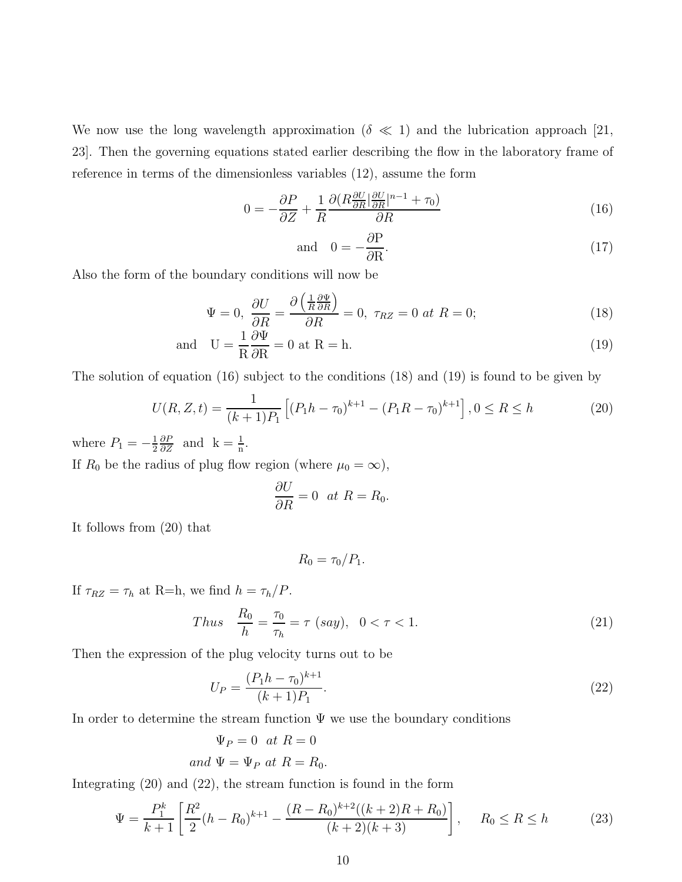We now use the long wavelength approximation ( $\delta \ll 1$ ) and the lubrication approach [21, 23]. Then the governing equations stated earlier describing the flow in the laboratory frame of reference in terms of the dimensionless variables (12), assume the form

$$
0 = -\frac{\partial P}{\partial Z} + \frac{1}{R} \frac{\partial (R \frac{\partial U}{\partial R} | \frac{\partial U}{\partial R} |^{n-1} + \tau_0)}{\partial R}
$$
(16)

and 
$$
0 = -\frac{\partial P}{\partial R}.
$$
 (17)

Also the form of the boundary conditions will now be

$$
\Psi = 0, \ \frac{\partial U}{\partial R} = \frac{\partial \left(\frac{1}{R}\frac{\partial \Psi}{\partial R}\right)}{\partial R} = 0, \ \tau_{RZ} = 0 \ at \ R = 0; \tag{18}
$$

and 
$$
U = \frac{1}{R} \frac{\partial \Psi}{\partial R} = 0
$$
 at  $R = h$ . (19)

The solution of equation (16) subject to the conditions (18) and (19) is found to be given by

$$
U(R, Z, t) = \frac{1}{(k+1)P_1} \left[ (P_1h - \tau_0)^{k+1} - (P_1R - \tau_0)^{k+1} \right], 0 \le R \le h \tag{20}
$$

where  $P_1 = -\frac{1}{2}$ 2  $\frac{\partial P}{\partial Z}$  and  $k = \frac{1}{n}$ .

If 
$$
R_0
$$
 be the radius of plug flow region (where  $\mu_0 = \infty$ ),

$$
\frac{\partial U}{\partial R} = 0 \ \ at \ R = R_0.
$$

It follows from (20) that

$$
R_0 = \tau_0/P_1.
$$

If  $\tau_{RZ} = \tau_h$  at R=h, we find  $h = \tau_h/P$ .

Thus 
$$
\frac{R_0}{h} = \frac{\tau_0}{\tau_h} = \tau \ (say), \ \ 0 < \tau < 1.
$$
 (21)

Then the expression of the plug velocity turns out to be

$$
U_P = \frac{(P_1 h - \tau_0)^{k+1}}{(k+1)P_1}.\tag{22}
$$

In order to determine the stream function  $\Psi$  we use the boundary conditions

$$
\Psi_P = 0 \text{ at } R = 0
$$
  
and  $\Psi = \Psi_P$  at  $R = R_0$ .

Integrating (20) and (22), the stream function is found in the form

$$
\Psi = \frac{P_1^k}{k+1} \left[ \frac{R^2}{2} (h - R_0)^{k+1} - \frac{(R - R_0)^{k+2} ((k+2)R + R_0)}{(k+2)(k+3)} \right], \quad R_0 \le R \le h \tag{23}
$$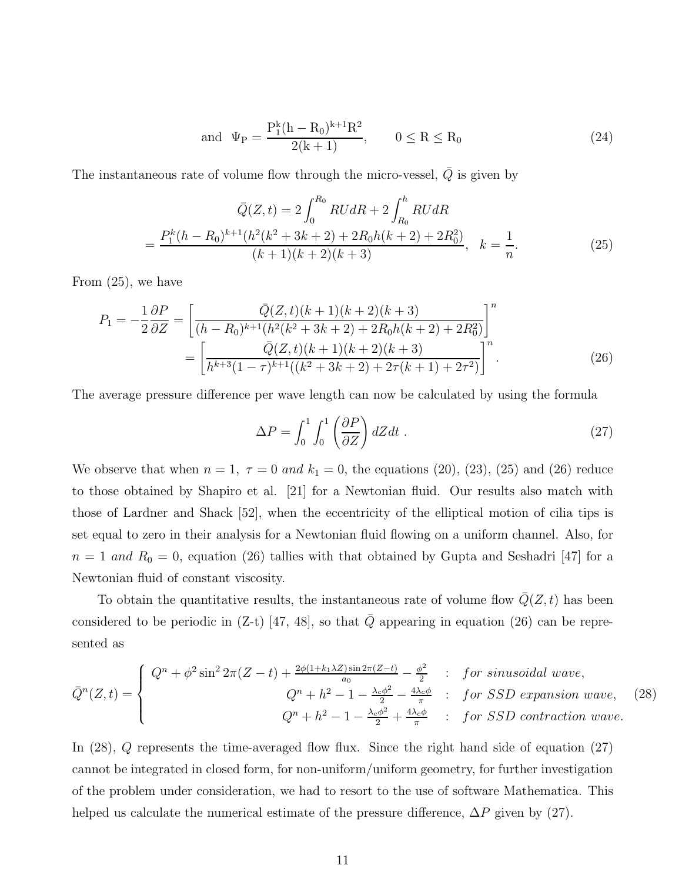and 
$$
\Psi_P = \frac{P_1^k (h - R_0)^{k+1} R^2}{2(k+1)}, \qquad 0 \le R \le R_0
$$
 (24)

The instantaneous rate of volume flow through the micro-vessel,  $\overline{Q}$  is given by

$$
\bar{Q}(Z,t) = 2 \int_0^{R_0} RU dR + 2 \int_{R_0}^h RU dR
$$

$$
= \frac{P_1^k (h - R_0)^{k+1} (h^2(k^2 + 3k + 2) + 2R_0 h(k+2) + 2R_0^2)}{(k+1)(k+2)(k+3)}, \quad k = \frac{1}{n}.
$$
 (25)

From (25), we have

$$
P_1 = -\frac{1}{2} \frac{\partial P}{\partial Z} = \left[ \frac{\bar{Q}(Z,t)(k+1)(k+2)(k+3)}{(h-R_0)^{k+1}(h^2(k^2+3k+2)+2R_0h(k+2)+2R_0^2)} \right]^n
$$
  
= 
$$
\left[ \frac{\bar{Q}(Z,t)(k+1)(k+2)(k+3)}{h^{k+3}(1-\tau)^{k+1}((k^2+3k+2)+2\tau(k+1)+2\tau^2)} \right]^n.
$$
 (26)

The average pressure difference per wave length can now be calculated by using the formula

$$
\Delta P = \int_0^1 \int_0^1 \left(\frac{\partial P}{\partial Z}\right) dZ dt \tag{27}
$$

We observe that when  $n = 1$ ,  $\tau = 0$  and  $k_1 = 0$ , the equations (20), (23), (25) and (26) reduce to those obtained by Shapiro et al. [21] for a Newtonian fluid. Our results also match with those of Lardner and Shack [52], when the eccentricity of the elliptical motion of cilia tips is set equal to zero in their analysis for a Newtonian fluid flowing on a uniform channel. Also, for  $n = 1$  and  $R_0 = 0$ , equation (26) tallies with that obtained by Gupta and Seshadri [47] for a Newtonian fluid of constant viscosity.

To obtain the quantitative results, the instantaneous rate of volume flow  $\overline{Q}(Z, t)$  has been considered to be periodic in (Z-t) [47, 48], so that  $\overline{Q}$  appearing in equation (26) can be represented as

$$
\bar{Q}^n(Z,t) = \begin{cases}\nQ^n + \phi^2 \sin^2 2\pi (Z-t) + \frac{2\phi(1+k_1\lambda Z)\sin 2\pi (Z-t)}{a_0} - \frac{\phi^2}{2} & \text{for sinusoidal wave,} \\
Q^n + h^2 - 1 - \frac{\lambda_c \phi^2}{2} - \frac{4\lambda_c \phi}{\pi} & \text{for SSD expansion wave,} \\
Q^n + h^2 - 1 - \frac{\lambda_c \phi^2}{2} + \frac{4\lambda_c \phi}{\pi} & \text{for SSD contraction wave.}\n\end{cases}\n\tag{28}
$$

In (28), Q represents the time-averaged flow flux. Since the right hand side of equation (27) cannot be integrated in closed form, for non-uniform/uniform geometry, for further investigation of the problem under consideration, we had to resort to the use of software Mathematica. This helped us calculate the numerical estimate of the pressure difference,  $\Delta P$  given by (27).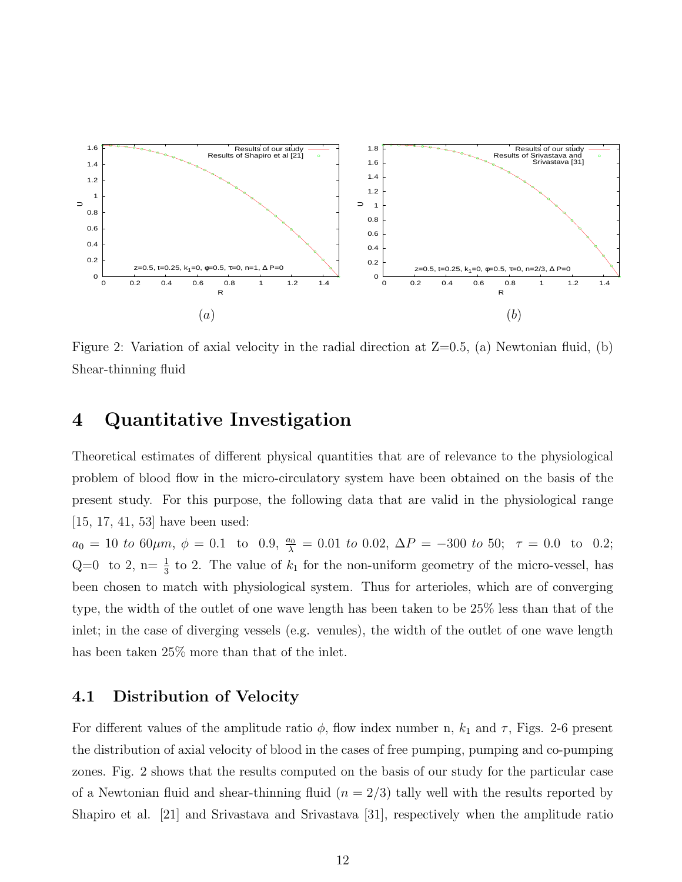

Figure 2: Variation of axial velocity in the radial direction at  $Z=0.5$ , (a) Newtonian fluid, (b) Shear-thinning fluid

### 4 Quantitative Investigation

Theoretical estimates of different physical quantities that are of relevance to the physiological problem of blood flow in the micro-circulatory system have been obtained on the basis of the present study. For this purpose, the following data that are valid in the physiological range [15, 17, 41, 53] have been used:

 $a_0 = 10$  to 60 $\mu$ m,  $\phi = 0.1$  to 0.9,  $\frac{a_0}{\lambda} = 0.01$  to 0.02,  $\Delta P = -300$  to 50;  $\tau = 0.0$  to 0.2;  $Q=0$  to 2, n=  $\frac{1}{3}$  to 2. The value of  $k_1$  for the non-uniform geometry of the micro-vessel, has been chosen to match with physiological system. Thus for arterioles, which are of converging type, the width of the outlet of one wave length has been taken to be 25% less than that of the inlet; in the case of diverging vessels (e.g. venules), the width of the outlet of one wave length has been taken 25% more than that of the inlet.

### 4.1 Distribution of Velocity

For different values of the amplitude ratio  $\phi$ , flow index number n,  $k_1$  and  $\tau$ , Figs. 2-6 present the distribution of axial velocity of blood in the cases of free pumping, pumping and co-pumping zones. Fig. 2 shows that the results computed on the basis of our study for the particular case of a Newtonian fluid and shear-thinning fluid  $(n = 2/3)$  tally well with the results reported by Shapiro et al. [21] and Srivastava and Srivastava [31], respectively when the amplitude ratio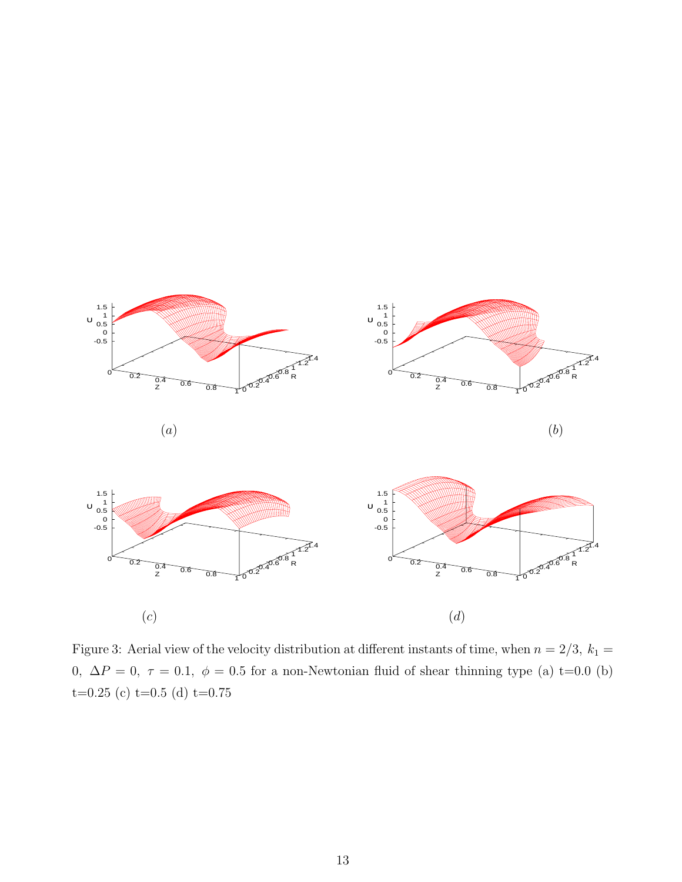

Figure 3: Aerial view of the velocity distribution at different instants of time, when  $n = 2/3$ ,  $k_1 =$ 0,  $\Delta P = 0$ ,  $\tau = 0.1$ ,  $\phi = 0.5$  for a non-Newtonian fluid of shear thinning type (a) t=0.0 (b) t=0.25 (c) t=0.5 (d) t=0.75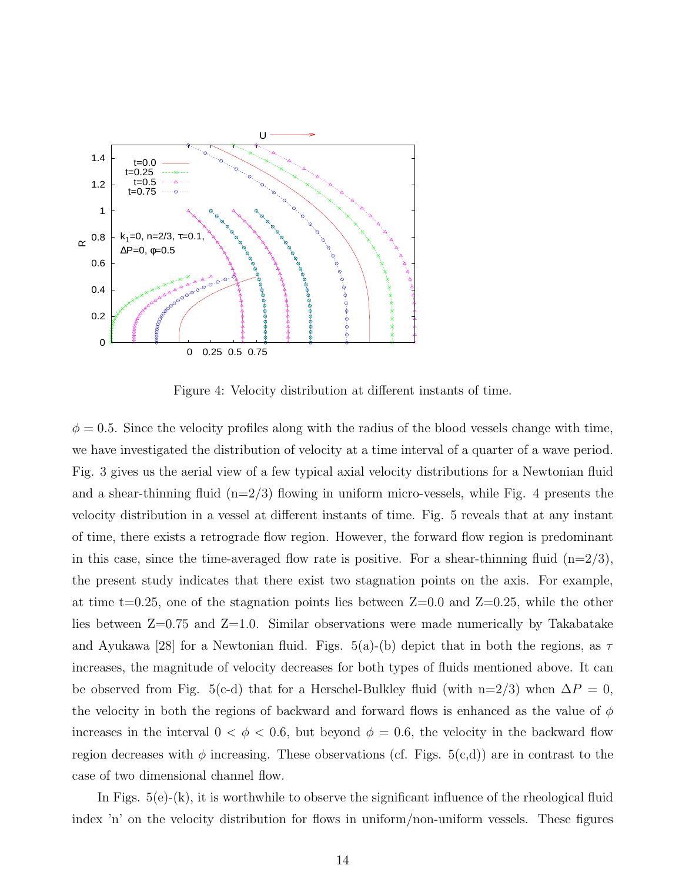

Figure 4: Velocity distribution at different instants of time.

 $\phi = 0.5$ . Since the velocity profiles along with the radius of the blood vessels change with time, we have investigated the distribution of velocity at a time interval of a quarter of a wave period. Fig. 3 gives us the aerial view of a few typical axial velocity distributions for a Newtonian fluid and a shear-thinning fluid  $(n=2/3)$  flowing in uniform micro-vessels, while Fig. 4 presents the velocity distribution in a vessel at different instants of time. Fig. 5 reveals that at any instant of time, there exists a retrograde flow region. However, the forward flow region is predominant in this case, since the time-averaged flow rate is positive. For a shear-thinning fluid  $(n=2/3)$ , the present study indicates that there exist two stagnation points on the axis. For example, at time t=0.25, one of the stagnation points lies between  $Z=0.0$  and  $Z=0.25$ , while the other lies between  $Z=0.75$  and  $Z=1.0$ . Similar observations were made numerically by Takabatake and Ayukawa [28] for a Newtonian fluid. Figs. 5(a)-(b) depict that in both the regions, as  $\tau$ increases, the magnitude of velocity decreases for both types of fluids mentioned above. It can be observed from Fig. 5(c-d) that for a Herschel-Bulkley fluid (with n=2/3) when  $\Delta P = 0$ , the velocity in both the regions of backward and forward flows is enhanced as the value of  $\phi$ increases in the interval  $0 < \phi < 0.6$ , but beyond  $\phi = 0.6$ , the velocity in the backward flow region decreases with  $\phi$  increasing. These observations (cf. Figs. 5(c,d)) are in contrast to the case of two dimensional channel flow.

In Figs.  $5(e)$ - $(k)$ , it is worthwhile to observe the significant influence of the rheological fluid index 'n' on the velocity distribution for flows in uniform/non-uniform vessels. These figures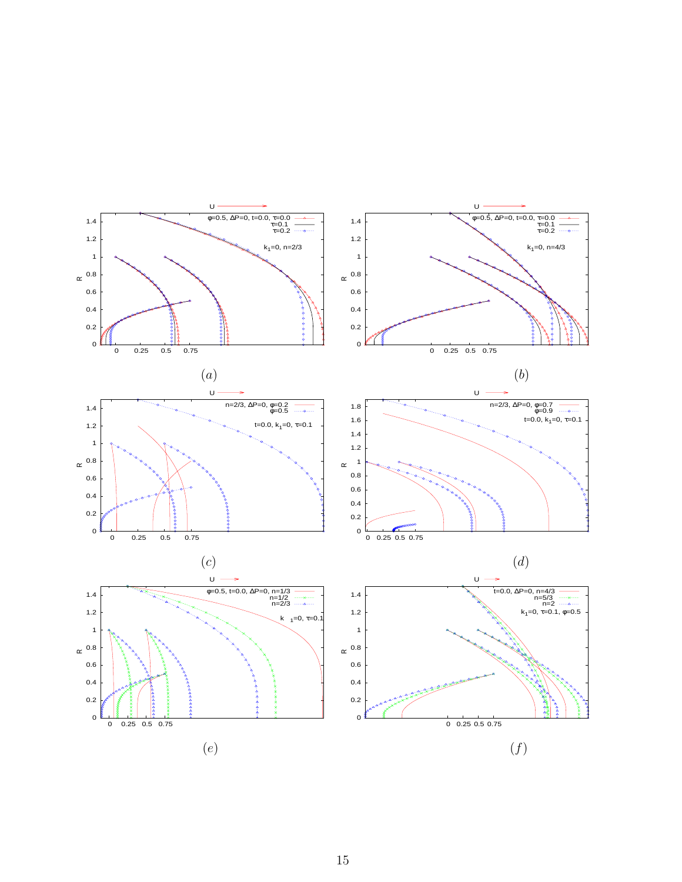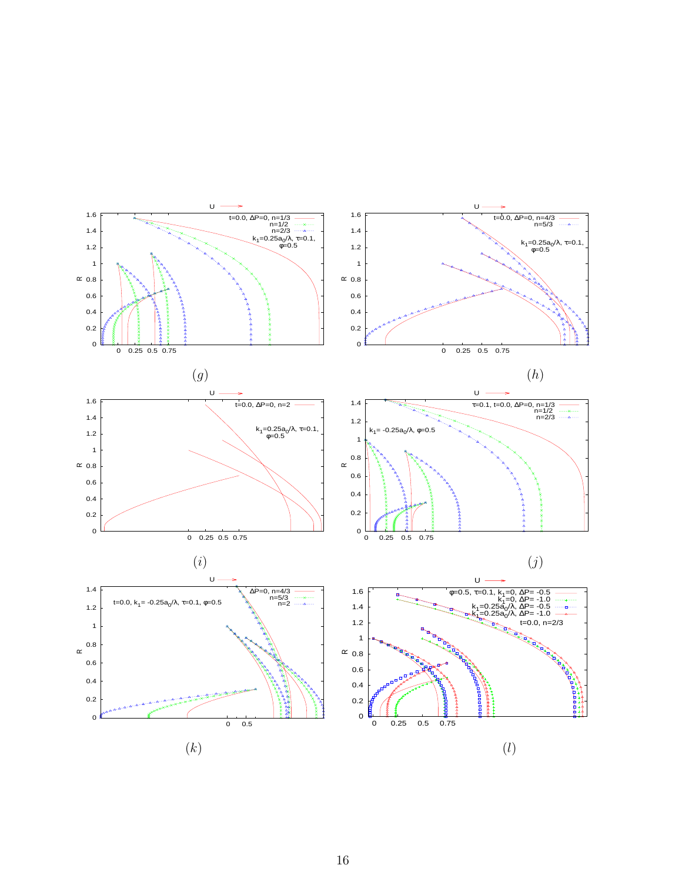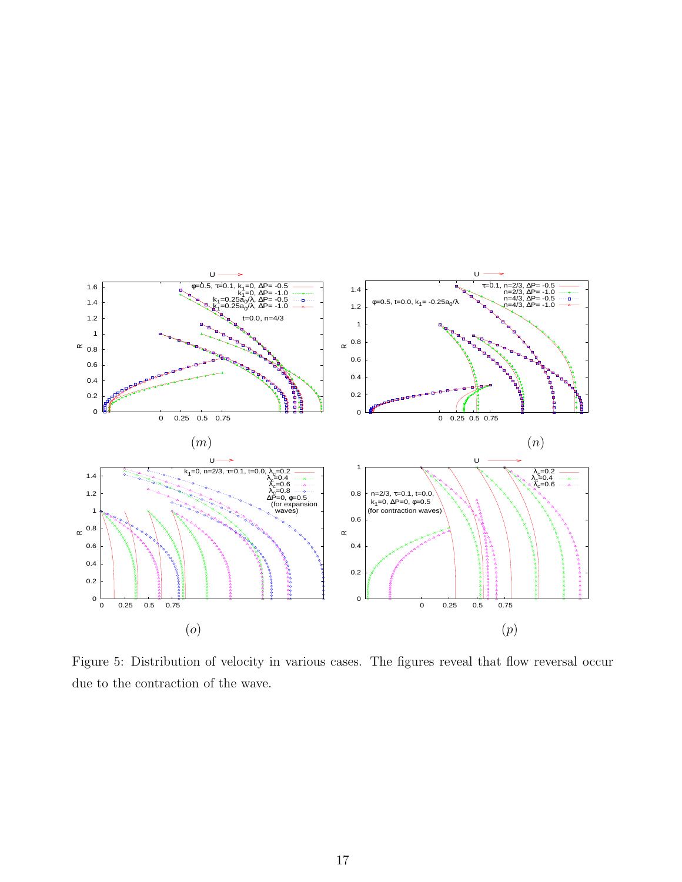

Figure 5: Distribution of velocity in various cases. The figures reveal that flow reversal occur due to the contraction of the wave.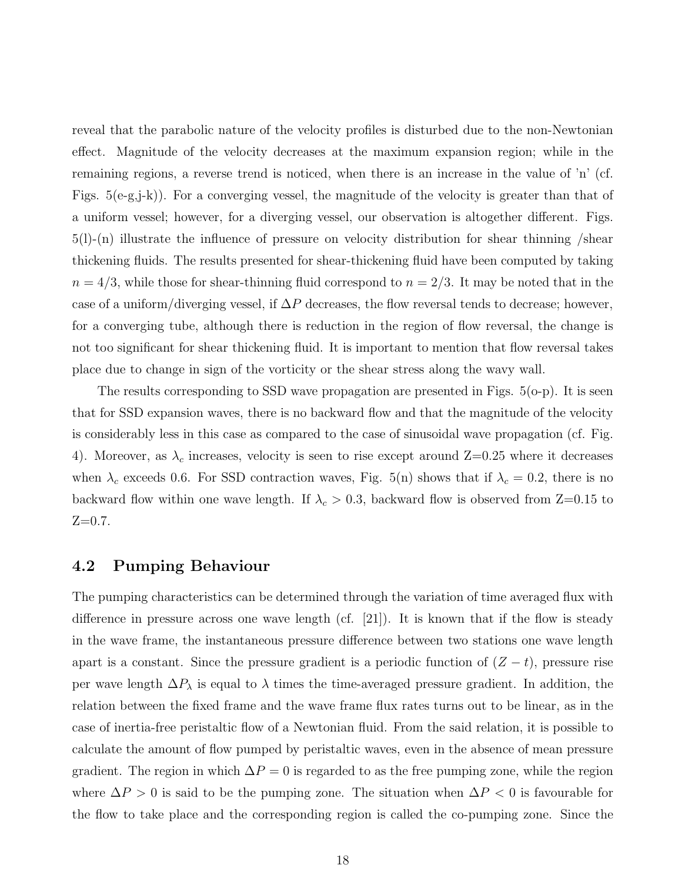reveal that the parabolic nature of the velocity profiles is disturbed due to the non-Newtonian effect. Magnitude of the velocity decreases at the maximum expansion region; while in the remaining regions, a reverse trend is noticed, when there is an increase in the value of 'n' (cf. Figs. 5(e-g,j-k)). For a converging vessel, the magnitude of the velocity is greater than that of a uniform vessel; however, for a diverging vessel, our observation is altogether different. Figs.  $5(l)-(n)$  illustrate the influence of pressure on velocity distribution for shear thinning /shear thickening fluids. The results presented for shear-thickening fluid have been computed by taking  $n = 4/3$ , while those for shear-thinning fluid correspond to  $n = 2/3$ . It may be noted that in the case of a uniform/diverging vessel, if  $\Delta P$  decreases, the flow reversal tends to decrease; however, for a converging tube, although there is reduction in the region of flow reversal, the change is not too significant for shear thickening fluid. It is important to mention that flow reversal takes place due to change in sign of the vorticity or the shear stress along the wavy wall.

The results corresponding to SSD wave propagation are presented in Figs. 5(o-p). It is seen that for SSD expansion waves, there is no backward flow and that the magnitude of the velocity is considerably less in this case as compared to the case of sinusoidal wave propagation (cf. Fig. 4). Moreover, as  $\lambda_c$  increases, velocity is seen to rise except around Z=0.25 where it decreases when  $\lambda_c$  exceeds 0.6. For SSD contraction waves, Fig. 5(n) shows that if  $\lambda_c = 0.2$ , there is no backward flow within one wave length. If  $\lambda_c > 0.3$ , backward flow is observed from Z=0.15 to  $Z=0.7$ .

#### 4.2 Pumping Behaviour

The pumping characteristics can be determined through the variation of time averaged flux with difference in pressure across one wave length (cf. [21]). It is known that if the flow is steady in the wave frame, the instantaneous pressure difference between two stations one wave length apart is a constant. Since the pressure gradient is a periodic function of  $(Z - t)$ , pressure rise per wave length  $\Delta P_{\lambda}$  is equal to  $\lambda$  times the time-averaged pressure gradient. In addition, the relation between the fixed frame and the wave frame flux rates turns out to be linear, as in the case of inertia-free peristaltic flow of a Newtonian fluid. From the said relation, it is possible to calculate the amount of flow pumped by peristaltic waves, even in the absence of mean pressure gradient. The region in which  $\Delta P = 0$  is regarded to as the free pumping zone, while the region where  $\Delta P > 0$  is said to be the pumping zone. The situation when  $\Delta P < 0$  is favourable for the flow to take place and the corresponding region is called the co-pumping zone. Since the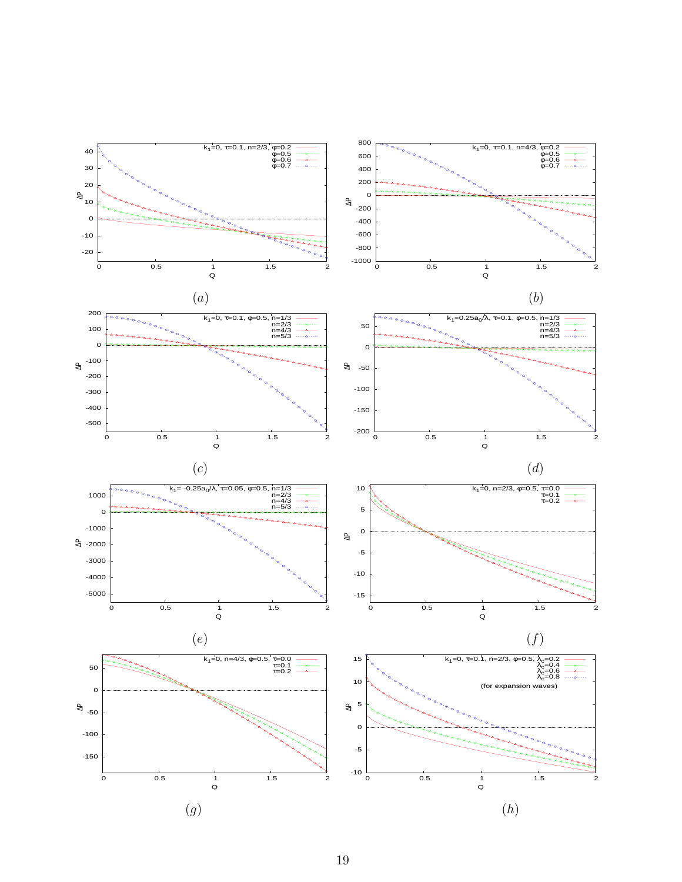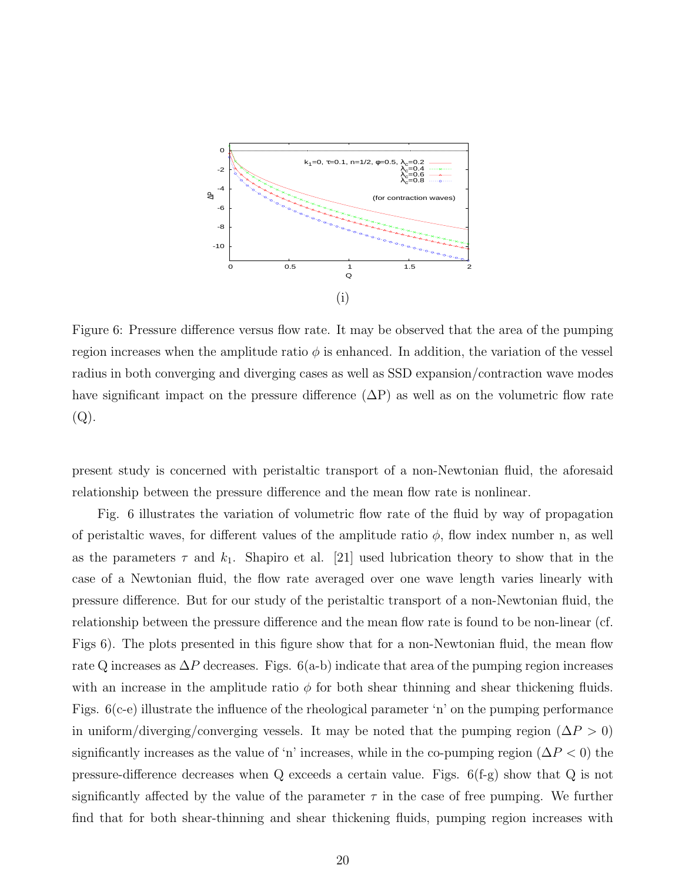

Figure 6: Pressure difference versus flow rate. It may be observed that the area of the pumping region increases when the amplitude ratio  $\phi$  is enhanced. In addition, the variation of the vessel radius in both converging and diverging cases as well as SSD expansion/contraction wave modes have significant impact on the pressure difference  $(\Delta P)$  as well as on the volumetric flow rate (Q).

present study is concerned with peristaltic transport of a non-Newtonian fluid, the aforesaid relationship between the pressure difference and the mean flow rate is nonlinear.

Fig. 6 illustrates the variation of volumetric flow rate of the fluid by way of propagation of peristaltic waves, for different values of the amplitude ratio  $\phi$ , flow index number n, as well as the parameters  $\tau$  and  $k_1$ . Shapiro et al. [21] used lubrication theory to show that in the case of a Newtonian fluid, the flow rate averaged over one wave length varies linearly with pressure difference. But for our study of the peristaltic transport of a non-Newtonian fluid, the relationship between the pressure difference and the mean flow rate is found to be non-linear (cf. Figs 6). The plots presented in this figure show that for a non-Newtonian fluid, the mean flow rate Q increases as  $\Delta P$  decreases. Figs. 6(a-b) indicate that area of the pumping region increases with an increase in the amplitude ratio  $\phi$  for both shear thinning and shear thickening fluids. Figs. 6(c-e) illustrate the influence of the rheological parameter 'n' on the pumping performance in uniform/diverging/converging vessels. It may be noted that the pumping region ( $\Delta P > 0$ ) significantly increases as the value of 'n' increases, while in the co-pumping region ( $\Delta P < 0$ ) the pressure-difference decreases when Q exceeds a certain value. Figs. 6(f-g) show that Q is not significantly affected by the value of the parameter  $\tau$  in the case of free pumping. We further find that for both shear-thinning and shear thickening fluids, pumping region increases with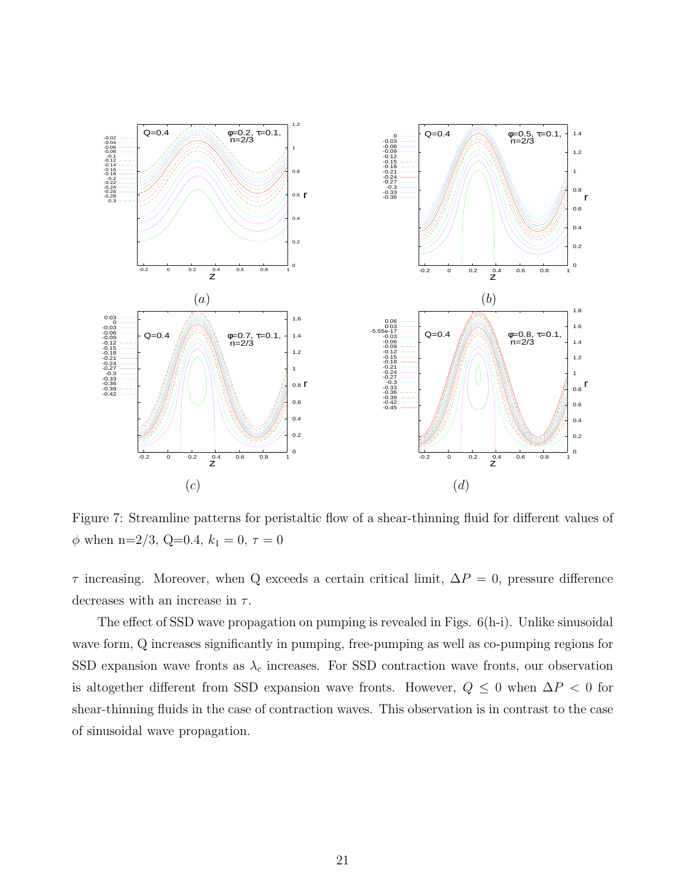

Figure 7: Streamline patterns for peristaltic flow of a shear-thinning fluid for different values of  $\phi$  when n=2/3, Q=0.4,  $k_1=0,\,\tau=0$ 

 $\tau$  increasing. Moreover, when Q exceeds a certain critical limit,  $\Delta P = 0$ , pressure difference decreases with an increase in  $\tau$ .

The effect of SSD wave propagation on pumping is revealed in Figs. 6(h-i). Unlike sinusoidal wave form, Q increases significantly in pumping, free-pumping as well as co-pumping regions for SSD expansion wave fronts as  $\lambda_c$  increases. For SSD contraction wave fronts, our observation is altogether different from SSD expansion wave fronts. However,  $Q \leq 0$  when  $\Delta P < 0$  for shear-thinning fluids in the case of contraction waves. This observation is in contrast to the case of sinusoidal wave propagation.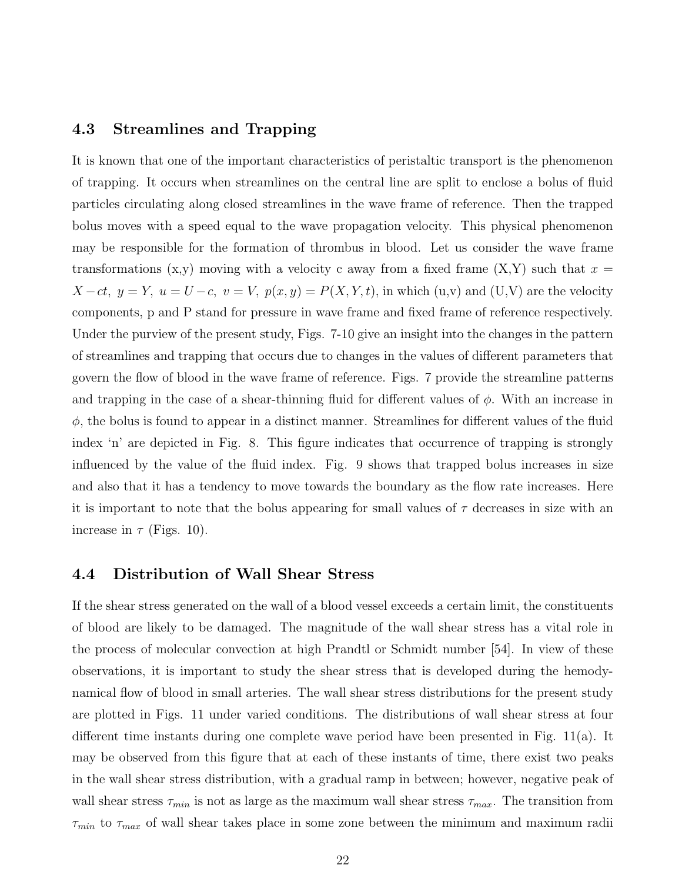#### 4.3 Streamlines and Trapping

It is known that one of the important characteristics of peristaltic transport is the phenomenon of trapping. It occurs when streamlines on the central line are split to enclose a bolus of fluid particles circulating along closed streamlines in the wave frame of reference. Then the trapped bolus moves with a speed equal to the wave propagation velocity. This physical phenomenon may be responsible for the formation of thrombus in blood. Let us consider the wave frame transformations (x,y) moving with a velocity c away from a fixed frame  $(X,Y)$  such that  $x =$  $X-ct, y=Y, u=U-c, v=V, p(x,y)=P(X,Y,t)$ , in which (u,v) and (U,V) are the velocity components, p and P stand for pressure in wave frame and fixed frame of reference respectively. Under the purview of the present study, Figs. 7-10 give an insight into the changes in the pattern of streamlines and trapping that occurs due to changes in the values of different parameters that govern the flow of blood in the wave frame of reference. Figs. 7 provide the streamline patterns and trapping in the case of a shear-thinning fluid for different values of  $\phi$ . With an increase in  $\phi$ , the bolus is found to appear in a distinct manner. Streamlines for different values of the fluid index 'n' are depicted in Fig. 8. This figure indicates that occurrence of trapping is strongly influenced by the value of the fluid index. Fig. 9 shows that trapped bolus increases in size and also that it has a tendency to move towards the boundary as the flow rate increases. Here it is important to note that the bolus appearing for small values of  $\tau$  decreases in size with an increase in  $\tau$  (Figs. 10).

#### 4.4 Distribution of Wall Shear Stress

If the shear stress generated on the wall of a blood vessel exceeds a certain limit, the constituents of blood are likely to be damaged. The magnitude of the wall shear stress has a vital role in the process of molecular convection at high Prandtl or Schmidt number [54]. In view of these observations, it is important to study the shear stress that is developed during the hemodynamical flow of blood in small arteries. The wall shear stress distributions for the present study are plotted in Figs. 11 under varied conditions. The distributions of wall shear stress at four different time instants during one complete wave period have been presented in Fig. 11(a). It may be observed from this figure that at each of these instants of time, there exist two peaks in the wall shear stress distribution, with a gradual ramp in between; however, negative peak of wall shear stress  $\tau_{min}$  is not as large as the maximum wall shear stress  $\tau_{max}$ . The transition from  $\tau_{min}$  to  $\tau_{max}$  of wall shear takes place in some zone between the minimum and maximum radii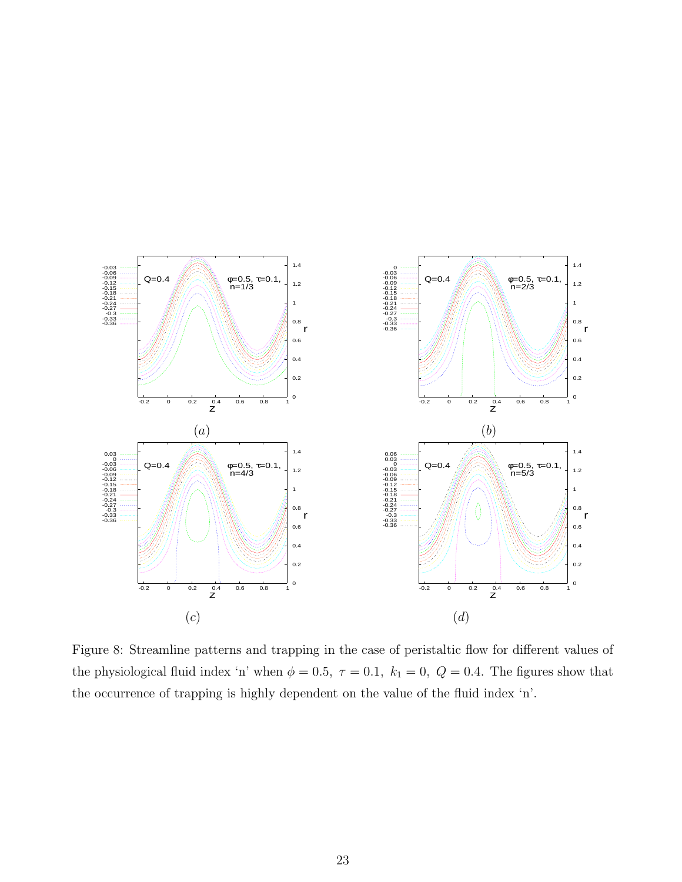

Figure 8: Streamline patterns and trapping in the case of peristaltic flow for different values of the physiological fluid index 'n' when  $\phi = 0.5, \tau = 0.1, k_1 = 0, Q = 0.4$ . The figures show that the occurrence of trapping is highly dependent on the value of the fluid index 'n'.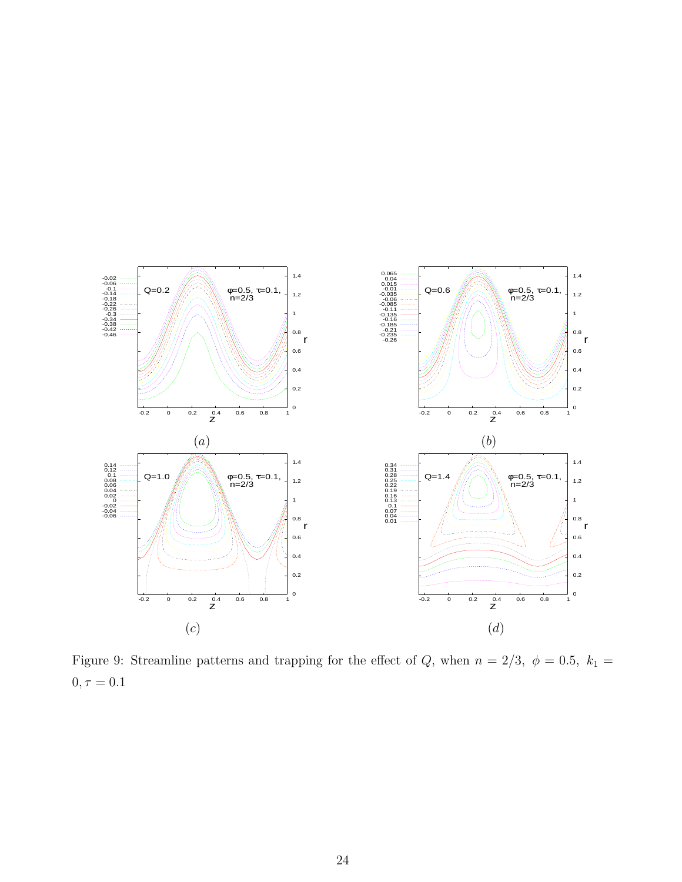

Figure 9: Streamline patterns and trapping for the effect of Q, when  $n = 2/3$ ,  $\phi = 0.5$ ,  $k_1 =$  $0, \tau = 0.1$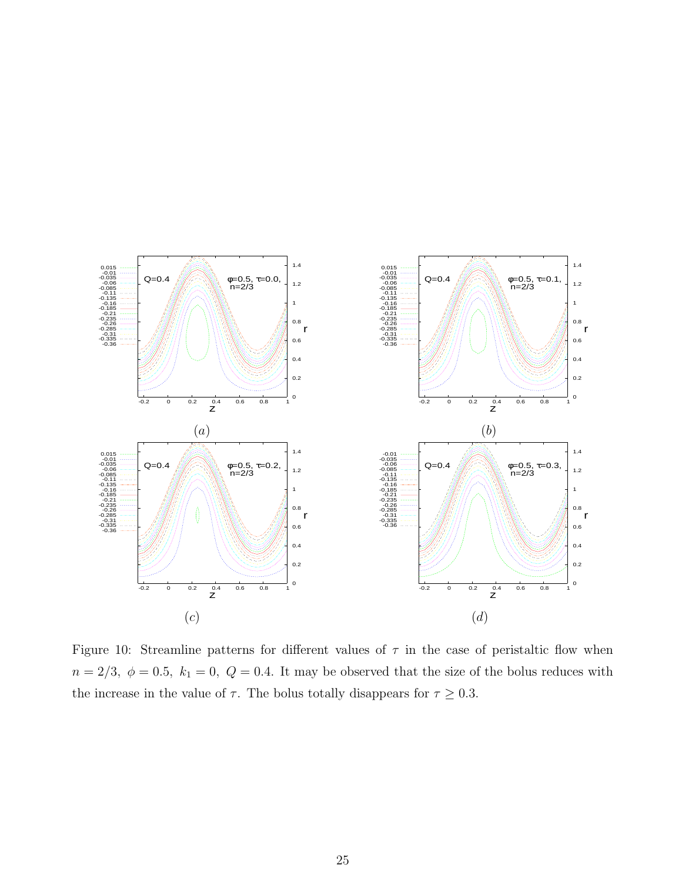

Figure 10: Streamline patterns for different values of  $\tau$  in the case of peristaltic flow when  $n = 2/3, \ \phi = 0.5, \ k_1 = 0, \ Q = 0.4.$  It may be observed that the size of the bolus reduces with the increase in the value of  $\tau$ . The bolus totally disappears for  $\tau \geq 0.3$ .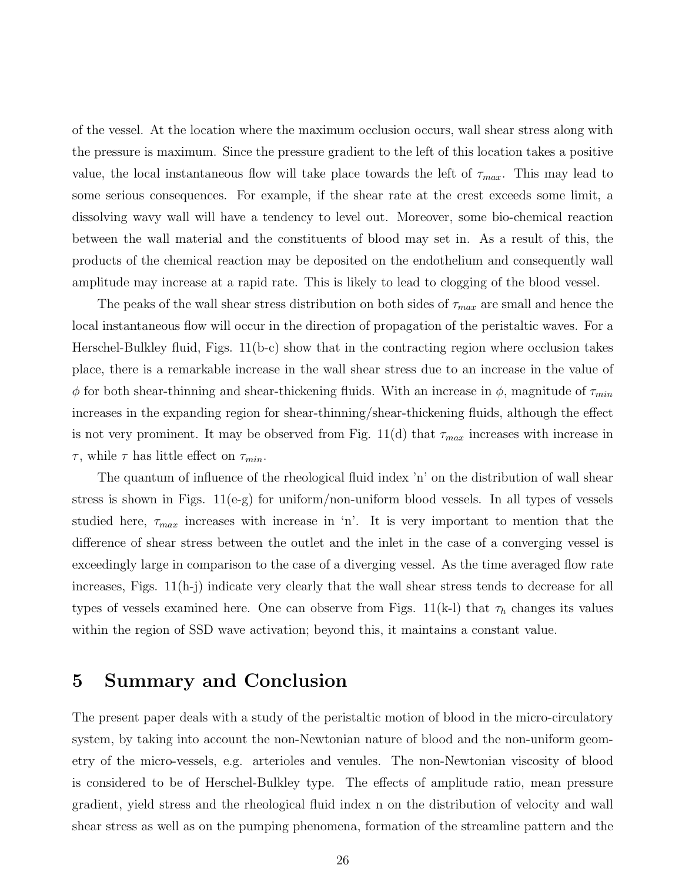of the vessel. At the location where the maximum occlusion occurs, wall shear stress along with the pressure is maximum. Since the pressure gradient to the left of this location takes a positive value, the local instantaneous flow will take place towards the left of  $\tau_{max}$ . This may lead to some serious consequences. For example, if the shear rate at the crest exceeds some limit, a dissolving wavy wall will have a tendency to level out. Moreover, some bio-chemical reaction between the wall material and the constituents of blood may set in. As a result of this, the products of the chemical reaction may be deposited on the endothelium and consequently wall amplitude may increase at a rapid rate. This is likely to lead to clogging of the blood vessel.

The peaks of the wall shear stress distribution on both sides of  $\tau_{max}$  are small and hence the local instantaneous flow will occur in the direction of propagation of the peristaltic waves. For a Herschel-Bulkley fluid, Figs. 11(b-c) show that in the contracting region where occlusion takes place, there is a remarkable increase in the wall shear stress due to an increase in the value of  $\phi$  for both shear-thinning and shear-thickening fluids. With an increase in  $\phi$ , magnitude of  $\tau_{min}$ increases in the expanding region for shear-thinning/shear-thickening fluids, although the effect is not very prominent. It may be observed from Fig. 11(d) that  $\tau_{max}$  increases with increase in  $\tau$ , while  $\tau$  has little effect on  $\tau_{min}$ .

The quantum of influence of the rheological fluid index 'n' on the distribution of wall shear stress is shown in Figs. 11(e-g) for uniform/non-uniform blood vessels. In all types of vessels studied here,  $\tau_{max}$  increases with increase in 'n'. It is very important to mention that the difference of shear stress between the outlet and the inlet in the case of a converging vessel is exceedingly large in comparison to the case of a diverging vessel. As the time averaged flow rate increases, Figs. 11(h-j) indicate very clearly that the wall shear stress tends to decrease for all types of vessels examined here. One can observe from Figs.  $11(k-1)$  that  $\tau_h$  changes its values within the region of SSD wave activation; beyond this, it maintains a constant value.

### 5 Summary and Conclusion

The present paper deals with a study of the peristaltic motion of blood in the micro-circulatory system, by taking into account the non-Newtonian nature of blood and the non-uniform geometry of the micro-vessels, e.g. arterioles and venules. The non-Newtonian viscosity of blood is considered to be of Herschel-Bulkley type. The effects of amplitude ratio, mean pressure gradient, yield stress and the rheological fluid index n on the distribution of velocity and wall shear stress as well as on the pumping phenomena, formation of the streamline pattern and the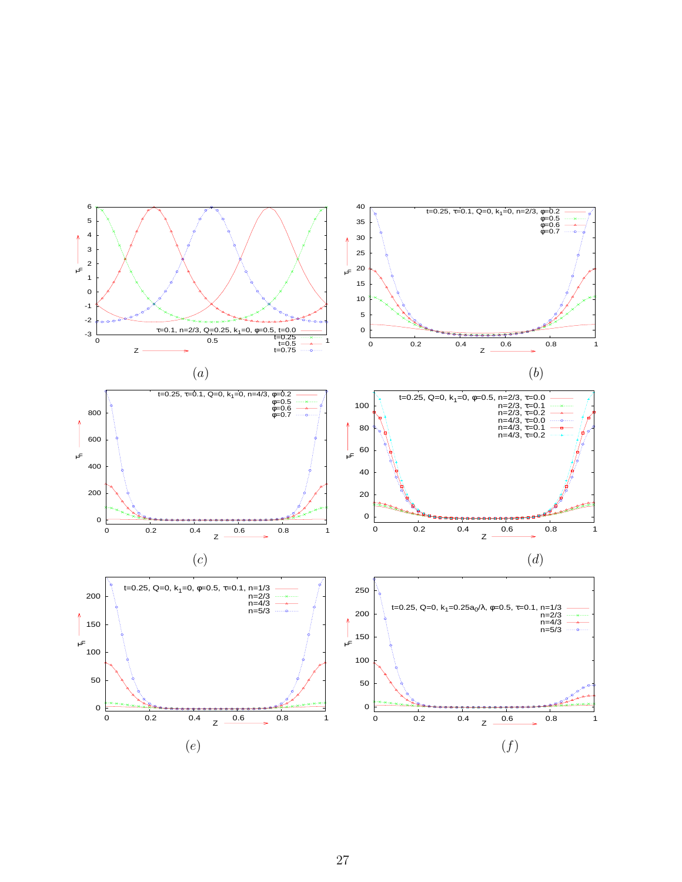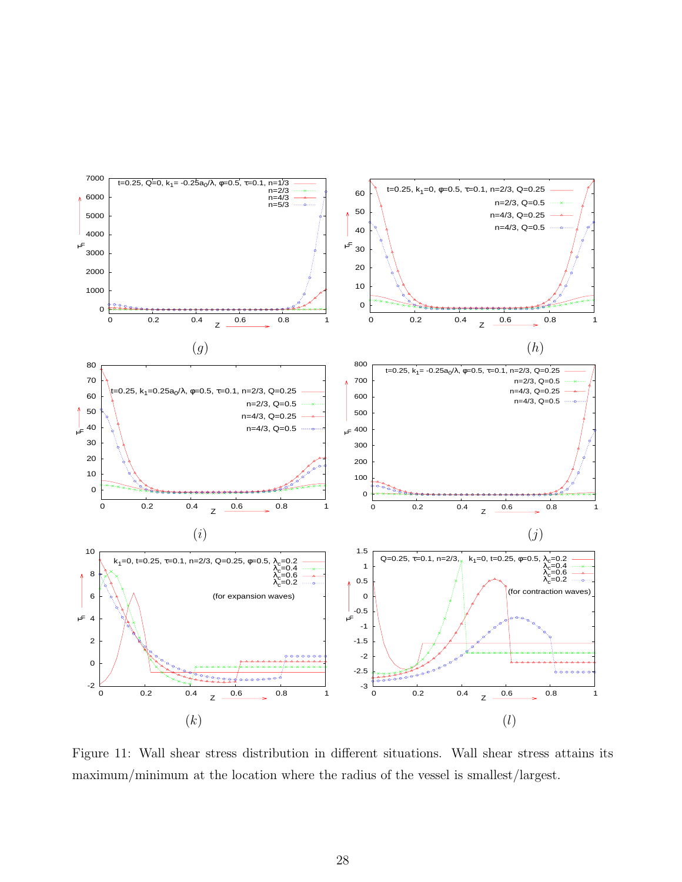

Figure 11: Wall shear stress distribution in different situations. Wall shear stress attains its maximum/minimum at the location where the radius of the vessel is smallest/largest.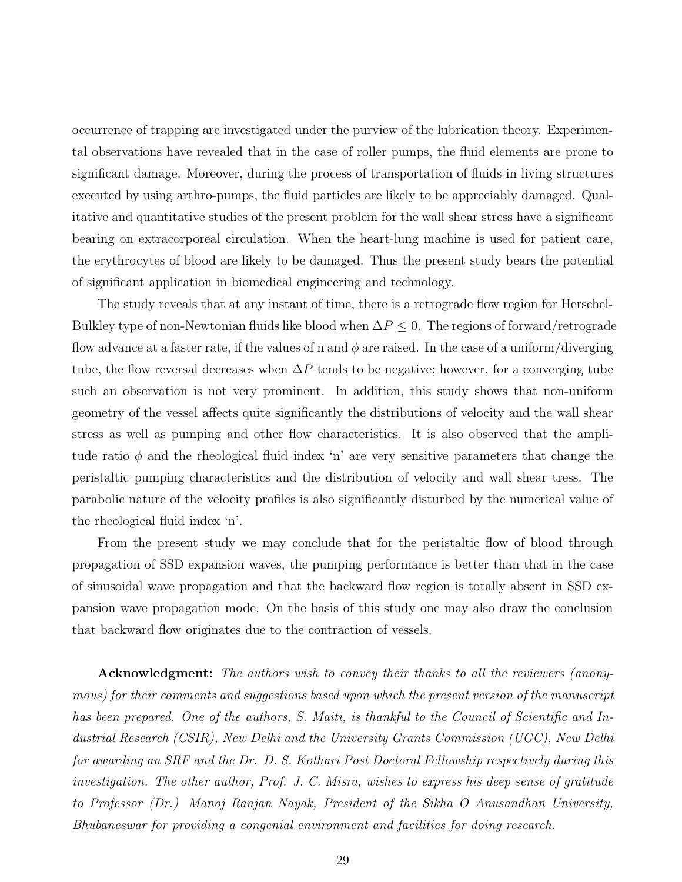occurrence of trapping are investigated under the purview of the lubrication theory. Experimental observations have revealed that in the case of roller pumps, the fluid elements are prone to significant damage. Moreover, during the process of transportation of fluids in living structures executed by using arthro-pumps, the fluid particles are likely to be appreciably damaged. Qualitative and quantitative studies of the present problem for the wall shear stress have a significant bearing on extracorporeal circulation. When the heart-lung machine is used for patient care, the erythrocytes of blood are likely to be damaged. Thus the present study bears the potential of significant application in biomedical engineering and technology.

The study reveals that at any instant of time, there is a retrograde flow region for Herschel-Bulkley type of non-Newtonian fluids like blood when  $\Delta P \leq 0$ . The regions of forward/retrograde flow advance at a faster rate, if the values of n and  $\phi$  are raised. In the case of a uniform/diverging tube, the flow reversal decreases when  $\Delta P$  tends to be negative; however, for a converging tube such an observation is not very prominent. In addition, this study shows that non-uniform geometry of the vessel affects quite significantly the distributions of velocity and the wall shear stress as well as pumping and other flow characteristics. It is also observed that the amplitude ratio  $\phi$  and the rheological fluid index 'n' are very sensitive parameters that change the peristaltic pumping characteristics and the distribution of velocity and wall shear tress. The parabolic nature of the velocity profiles is also significantly disturbed by the numerical value of the rheological fluid index 'n'.

From the present study we may conclude that for the peristaltic flow of blood through propagation of SSD expansion waves, the pumping performance is better than that in the case of sinusoidal wave propagation and that the backward flow region is totally absent in SSD expansion wave propagation mode. On the basis of this study one may also draw the conclusion that backward flow originates due to the contraction of vessels.

Acknowledgment: *The authors wish to convey their thanks to all the reviewers (anonymous) for their comments and suggestions based upon which the present version of the manuscript has been prepared. One of the authors, S. Maiti, is thankful to the Council of Scientific and Industrial Research (CSIR), New Delhi and the University Grants Commission (UGC), New Delhi for awarding an SRF and the Dr. D. S. Kothari Post Doctoral Fellowship respectively during this investigation. The other author, Prof. J. C. Misra, wishes to express his deep sense of gratitude to Professor (Dr.) Manoj Ranjan Nayak, President of the Sikha O Anusandhan University, Bhubaneswar for providing a congenial environment and facilities for doing research.*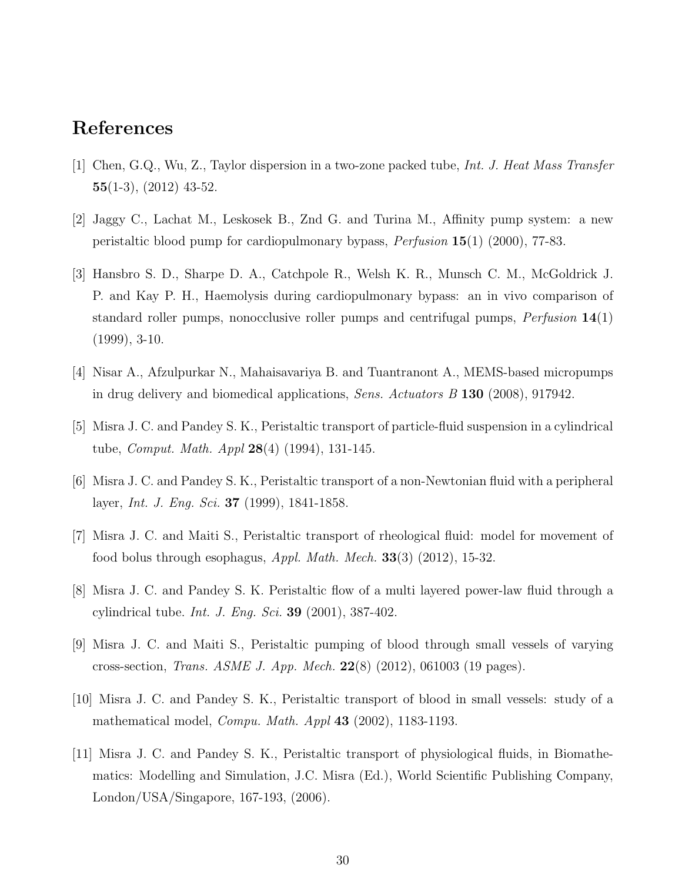### References

- [1] Chen, G.Q., Wu, Z., Taylor dispersion in a two-zone packed tube, *Int. J. Heat Mass Transfer*  $55(1-3)$ ,  $(2012)$  43-52.
- [2] Jaggy C., Lachat M., Leskosek B., Znd G. and Turina M., Affinity pump system: a new peristaltic blood pump for cardiopulmonary bypass, *Perfusion* 15(1) (2000), 77-83.
- [3] Hansbro S. D., Sharpe D. A., Catchpole R., Welsh K. R., Munsch C. M., McGoldrick J. P. and Kay P. H., Haemolysis during cardiopulmonary bypass: an in vivo comparison of standard roller pumps, nonocclusive roller pumps and centrifugal pumps, *Perfusion* 14(1) (1999), 3-10.
- [4] Nisar A., Afzulpurkar N., Mahaisavariya B. and Tuantranont A., MEMS-based micropumps in drug delivery and biomedical applications, *Sens. Actuators B* 130 (2008), 917942.
- [5] Misra J. C. and Pandey S. K., Peristaltic transport of particle-fluid suspension in a cylindrical tube, *Comput. Math. Appl* 28(4) (1994), 131-145.
- [6] Misra J. C. and Pandey S. K., Peristaltic transport of a non-Newtonian fluid with a peripheral layer, *Int. J. Eng. Sci.* 37 (1999), 1841-1858.
- [7] Misra J. C. and Maiti S., Peristaltic transport of rheological fluid: model for movement of food bolus through esophagus, *Appl. Math. Mech.* 33(3) (2012), 15-32.
- [8] Misra J. C. and Pandey S. K. Peristaltic flow of a multi layered power-law fluid through a cylindrical tube. *Int. J. Eng. Sci.* 39 (2001), 387-402.
- [9] Misra J. C. and Maiti S., Peristaltic pumping of blood through small vessels of varying cross-section, *Trans. ASME J. App. Mech.* 22(8) (2012), 061003 (19 pages).
- [10] Misra J. C. and Pandey S. K., Peristaltic transport of blood in small vessels: study of a mathematical model, *Compu. Math. Appl* 43 (2002), 1183-1193.
- [11] Misra J. C. and Pandey S. K., Peristaltic transport of physiological fluids, in Biomathematics: Modelling and Simulation, J.C. Misra (Ed.), World Scientific Publishing Company, London/USA/Singapore, 167-193, (2006).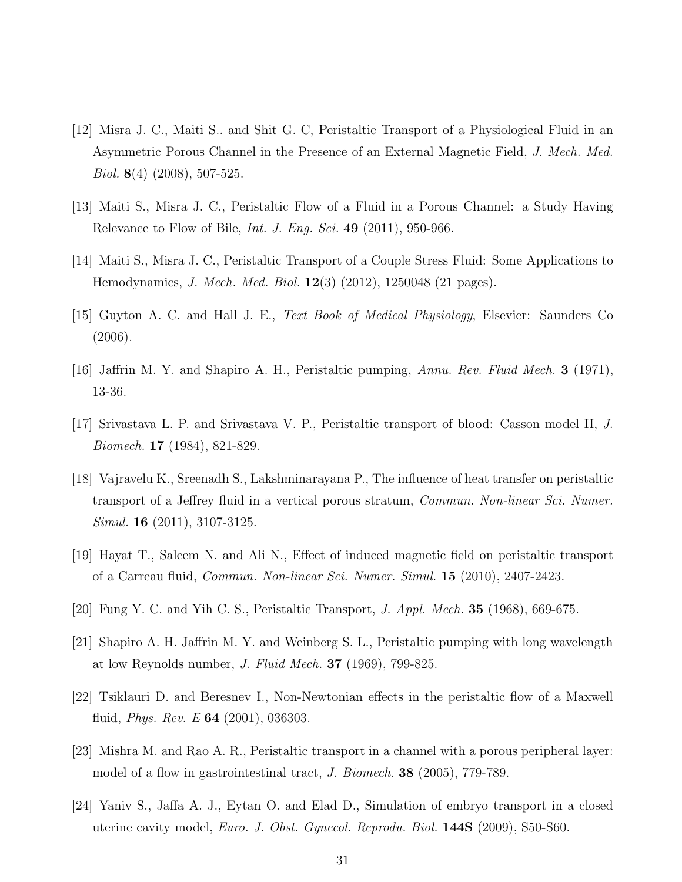- [12] Misra J. C., Maiti S.. and Shit G. C, Peristaltic Transport of a Physiological Fluid in an Asymmetric Porous Channel in the Presence of an External Magnetic Field, *J. Mech. Med. Biol.* 8(4) (2008), 507-525.
- [13] Maiti S., Misra J. C., Peristaltic Flow of a Fluid in a Porous Channel: a Study Having Relevance to Flow of Bile, *Int. J. Eng. Sci.* 49 (2011), 950-966.
- [14] Maiti S., Misra J. C., Peristaltic Transport of a Couple Stress Fluid: Some Applications to Hemodynamics, *J. Mech. Med. Biol.* 12(3) (2012), 1250048 (21 pages).
- [15] Guyton A. C. and Hall J. E., *Text Book of Medical Physiology*, Elsevier: Saunders Co (2006).
- [16] Jaffrin M. Y. and Shapiro A. H., Peristaltic pumping, *Annu. Rev. Fluid Mech.* 3 (1971), 13-36.
- [17] Srivastava L. P. and Srivastava V. P., Peristaltic transport of blood: Casson model II, *J. Biomech.* 17 (1984), 821-829.
- [18] Vajravelu K., Sreenadh S., Lakshminarayana P., The influence of heat transfer on peristaltic transport of a Jeffrey fluid in a vertical porous stratum, *Commun. Non-linear Sci. Numer. Simul.* 16 (2011), 3107-3125.
- [19] Hayat T., Saleem N. and Ali N., Effect of induced magnetic field on peristaltic transport of a Carreau fluid, *Commun. Non-linear Sci. Numer. Simul.* 15 (2010), 2407-2423.
- [20] Fung Y. C. and Yih C. S., Peristaltic Transport, *J. Appl. Mech.* 35 (1968), 669-675.
- [21] Shapiro A. H. Jaffrin M. Y. and Weinberg S. L., Peristaltic pumping with long wavelength at low Reynolds number, *J. Fluid Mech.* 37 (1969), 799-825.
- [22] Tsiklauri D. and Beresnev I., Non-Newtonian effects in the peristaltic flow of a Maxwell fluid, *Phys. Rev. E* 64 (2001), 036303.
- [23] Mishra M. and Rao A. R., Peristaltic transport in a channel with a porous peripheral layer: model of a flow in gastrointestinal tract, *J. Biomech.* 38 (2005), 779-789.
- [24] Yaniv S., Jaffa A. J., Eytan O. and Elad D., Simulation of embryo transport in a closed uterine cavity model, *Euro. J. Obst. Gynecol. Reprodu. Biol.* 144S (2009), S50-S60.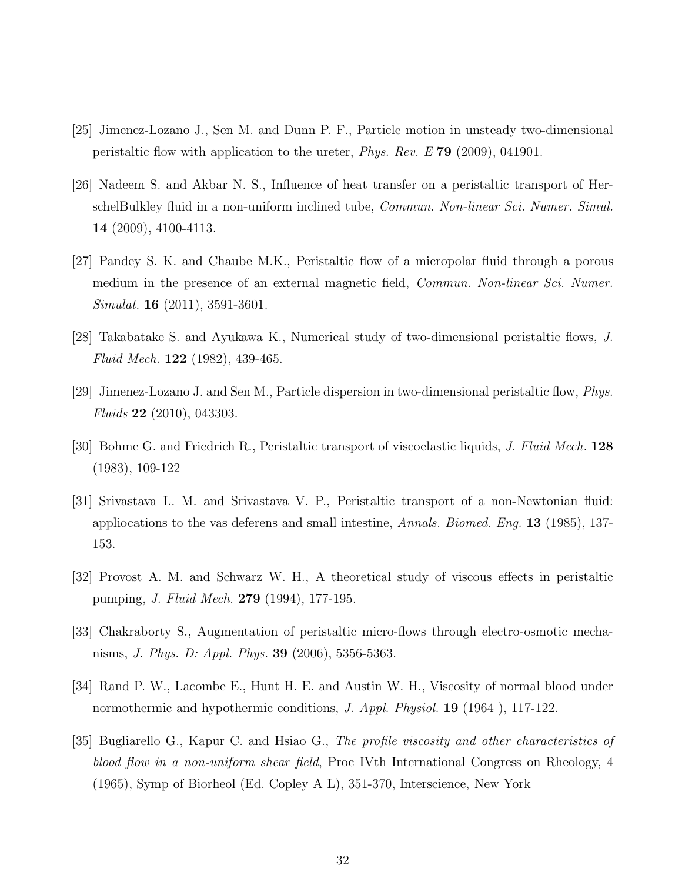- [25] Jimenez-Lozano J., Sen M. and Dunn P. F., Particle motion in unsteady two-dimensional peristaltic flow with application to the ureter, *Phys. Rev. E* 79 (2009), 041901.
- [26] Nadeem S. and Akbar N. S., Influence of heat transfer on a peristaltic transport of HerschelBulkley fluid in a non-uniform inclined tube, *Commun. Non-linear Sci. Numer. Simul.* 14 (2009), 4100-4113.
- [27] Pandey S. K. and Chaube M.K., Peristaltic flow of a micropolar fluid through a porous medium in the presence of an external magnetic field, *Commun. Non-linear Sci. Numer. Simulat.* 16 (2011), 3591-3601.
- [28] Takabatake S. and Ayukawa K., Numerical study of two-dimensional peristaltic flows, *J. Fluid Mech.* 122 (1982), 439-465.
- [29] Jimenez-Lozano J. and Sen M., Particle dispersion in two-dimensional peristaltic flow, *Phys. Fluids* 22 (2010), 043303.
- [30] Bohme G. and Friedrich R., Peristaltic transport of viscoelastic liquids, *J. Fluid Mech.* 128 (1983), 109-122
- [31] Srivastava L. M. and Srivastava V. P., Peristaltic transport of a non-Newtonian fluid: appliocations to the vas deferens and small intestine, *Annals. Biomed. Eng.* 13 (1985), 137- 153.
- [32] Provost A. M. and Schwarz W. H., A theoretical study of viscous effects in peristaltic pumping, *J. Fluid Mech.* 279 (1994), 177-195.
- [33] Chakraborty S., Augmentation of peristaltic micro-flows through electro-osmotic mechanisms, *J. Phys. D: Appl. Phys.* 39 (2006), 5356-5363.
- [34] Rand P. W., Lacombe E., Hunt H. E. and Austin W. H., Viscosity of normal blood under normothermic and hypothermic conditions, *J. Appl. Physiol.* 19 (1964 ), 117-122.
- [35] Bugliarello G., Kapur C. and Hsiao G., *The profile viscosity and other characteristics of blood flow in a non-uniform shear field*, Proc IVth International Congress on Rheology, 4 (1965), Symp of Biorheol (Ed. Copley A L), 351-370, Interscience, New York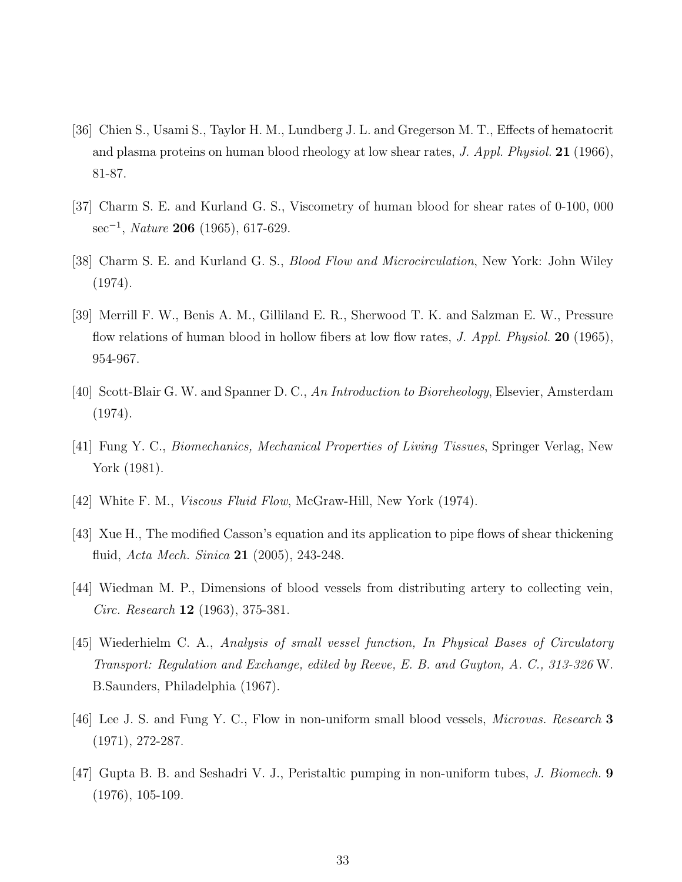- [36] Chien S., Usami S., Taylor H. M., Lundberg J. L. and Gregerson M. T., Effects of hematocrit and plasma proteins on human blood rheology at low shear rates, *J. Appl. Physiol.* 21 (1966), 81-87.
- [37] Charm S. E. and Kurland G. S., Viscometry of human blood for shear rates of 0-100, 000 sec<sup>−</sup><sup>1</sup> , *Nature* 206 (1965), 617-629.
- [38] Charm S. E. and Kurland G. S., *Blood Flow and Microcirculation*, New York: John Wiley (1974).
- [39] Merrill F. W., Benis A. M., Gilliland E. R., Sherwood T. K. and Salzman E. W., Pressure flow relations of human blood in hollow fibers at low flow rates, *J. Appl. Physiol.* 20 (1965), 954-967.
- [40] Scott-Blair G. W. and Spanner D. C., *An Introduction to Bioreheology*, Elsevier, Amsterdam (1974).
- [41] Fung Y. C., *Biomechanics, Mechanical Properties of Living Tissues*, Springer Verlag, New York (1981).
- [42] White F. M., *Viscous Fluid Flow*, McGraw-Hill, New York (1974).
- [43] Xue H., The modified Casson's equation and its application to pipe flows of shear thickening fluid, *Acta Mech. Sinica* 21 (2005), 243-248.
- [44] Wiedman M. P., Dimensions of blood vessels from distributing artery to collecting vein, *Circ. Research* 12 (1963), 375-381.
- [45] Wiederhielm C. A., *Analysis of small vessel function, In Physical Bases of Circulatory Transport: Regulation and Exchange, edited by Reeve, E. B. and Guyton, A. C., 313-326* W. B.Saunders, Philadelphia (1967).
- [46] Lee J. S. and Fung Y. C., Flow in non-uniform small blood vessels, *Microvas. Research* 3 (1971), 272-287.
- [47] Gupta B. B. and Seshadri V. J., Peristaltic pumping in non-uniform tubes, *J. Biomech.* 9 (1976), 105-109.